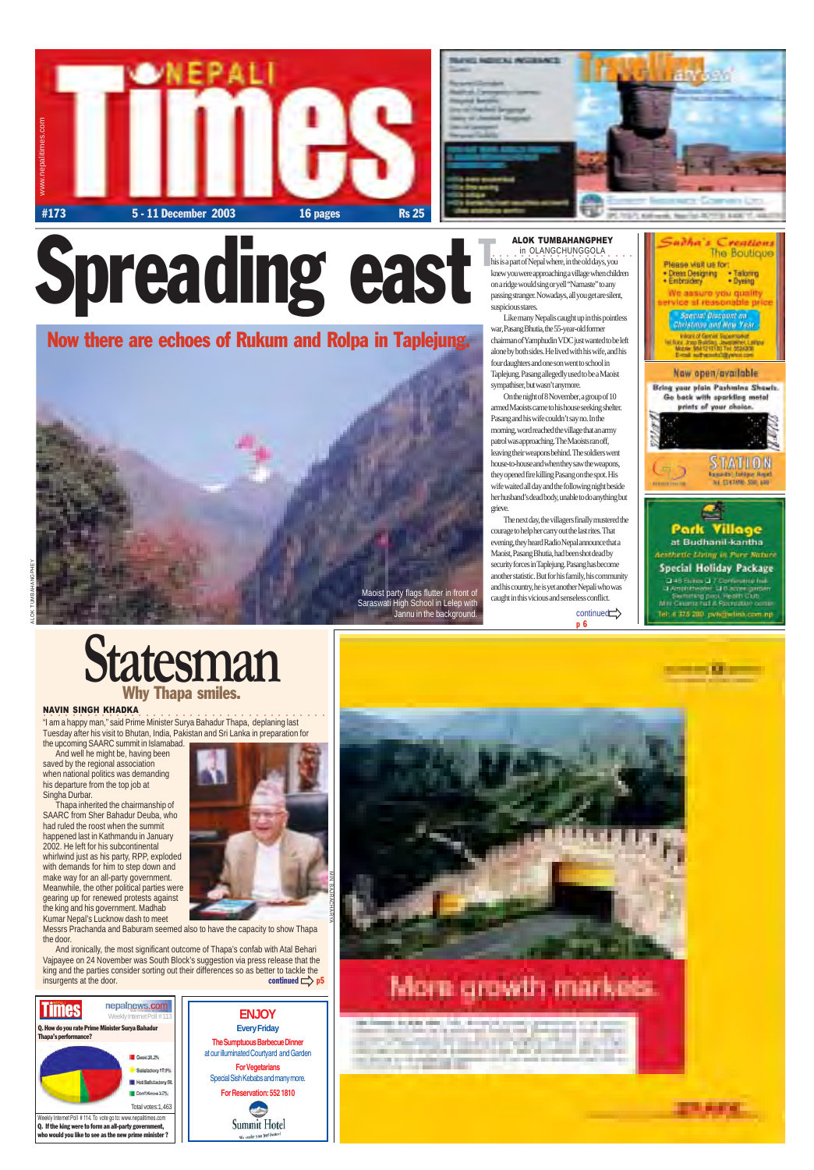





Like many Nepalis caught up in this pointless war, Pasang Bhutia, the 55-year-old former chairman of Yamphudin VDC just wanted to be left alone by both sides. He lived with his wife, and his four daughters and one son went to school in Taplejung. Pasang allegedly used to be a Maoist sympathiser, but wasn't anymore.

 $\ddot{a}$  is a state of the state of the contribution of the state of the state of the state of the state of the Minister Surya Bahadur Thapa, deplaning last Tuesday after his visit to Bhutan, India, Pakistan and Sri Lanka in preparation for

On the night of 8 November, a group of 10 armed Maoists came to his house seeking shelter. Pasang and his wife couldn't say no. In the morning, word reached the village that an army patrol was approaching. The Maoists ran off, leaving their weapons behind. The soldiers went house-to-house and when they saw the weapons, they opened fire killing Pasang on the spot. His wife waited all day and the following night beside her husband's dead body, unable to do anything but grieve.

And ironically, the most significant outcome of Thapa's confab with Atal Behari Vajpayee on 24 November was South Block's suggestion via press release that the king and the parties consider sorting out their differences so as better to tackle the insurgents at the door. continued  $\Rightarrow$  p5

The next day, the villagers finally mustered the courage to help her carry out the last rites. That evening, they heard Radio Nepal announce that a Maoist, Pasang Bhutia, had been shot dead by security forces in Taplejung. Pasang has become another statistic. But for his family, his community and his country, he is yet another Nepali who was caught in this vicious and senseless conflict.

continued<sup>-></sup>

p 6



## Spreading east



Saraswati High School in Lelep with Jannu in the background.

his is a part of Nepal where, in the old days, you knew you were approaching a village when children on a ridge would sing or yell "Namaste" to any passing stranger. Nowadays, all you get are silent, suspicious stares. **ALOK TUMBAHANGPHEY**<br>in OLANGCHUNGGOLA **ALOK TUMBAHANGPHE**<br>in OLANGCHUNGGOLA<br>his is a part of Nepal where, in the old days

### Now there are echoes of Rukum and Rolpa in Taplejung.

#### NAVIN SINGH KHADKA

the upcoming SAARC summit in Islamabad. And well he might be, having been saved by the regional association when national politics was demanding his departure from the top job at Singha Durbar.

Thapa inherited the chairmanship of





SAARC from Sher Bahadur Deuba, who had ruled the roost when the summit happened last in Kathmandu in January 2002. He left for his subcontinental whirlwind just as his party, RPP, exploded with demands for him to step down and make way for an all-party government. Meanwhile, the other political parties were gearing up for renewed protests against the king and his government. Madhab Kumar Nepal's Lucknow dash to meet

Messrs Prachanda and Baburam seemed also to have the capacity to show Thapa the door.

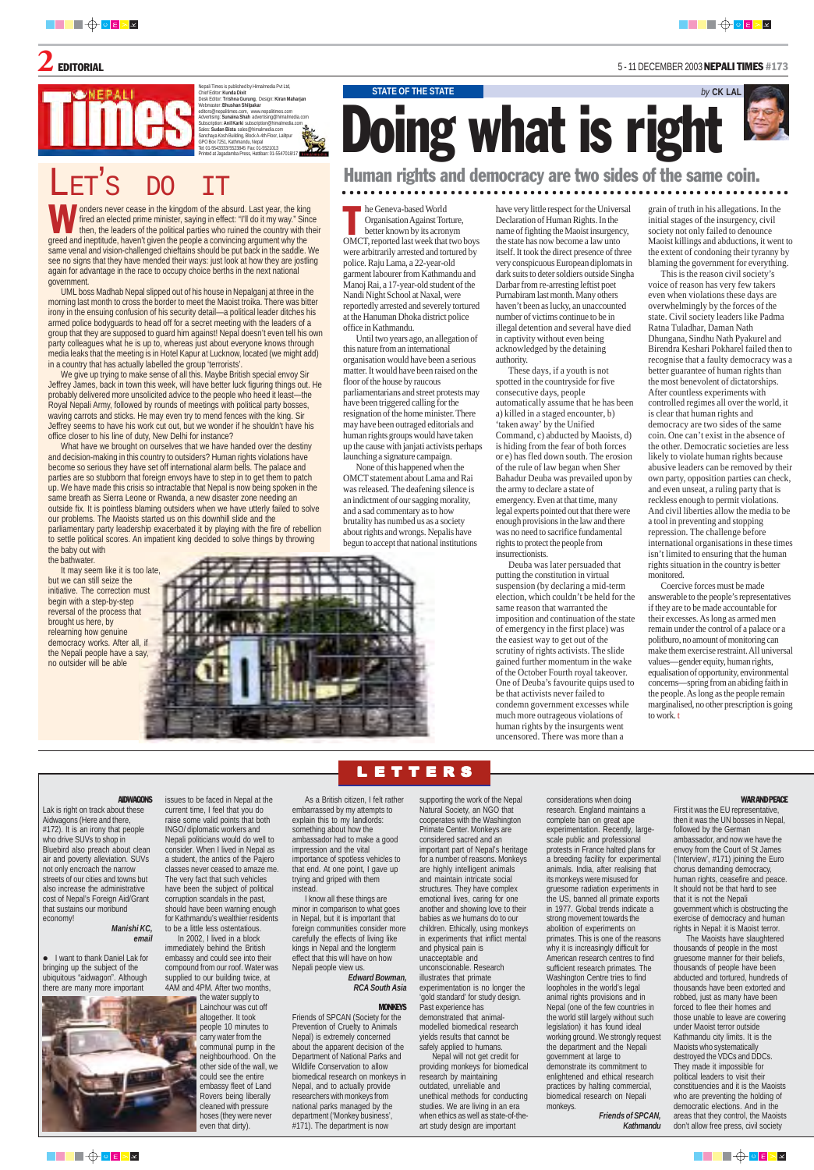Nepali Times is published by Himalmedia Pvt Ltd, Chief Editor: **Kunda Dixit** Desk Editor: **Trishna Gurung**, Design: **Kiran Maharjan** Webmaster: **Bhushan Shilpakar** editors@nepalitimes.com, www.nepalitimes.com Advertising: **Sunaina Shah** advertising@himalmedia.com Subscription: **Anil Karki** subscription@himalmedia.com Sales: **Sudan Bista** sales@himalmedia.com Sanchaya Kosh Building, Block A-4th Floor, Lalitpur<br>GPO Box 7251. Kathmandu, Nepal GPO Box 7251, Kathmandu, Nepal Tel: 01-5543333/ 5523845 Fax: 01-5521013 hted at Jagadamba Press, Hattiban: 01-5547018/1

• I want to thank Daniel Lak for bringing up the subject of the ubiquitous "aidwagon". Although there are many more important



**AIDWAGONS** issues to be faced in Nepal at the



Lak is right on track about these Aidwagons (Here and there, #172). It is an irony that people who drive SUVs to shop in Bluebird also preach about clean air and poverty alleviation. SUVs not only encroach the narrow streets of our cities and towns but also increase the administrative cost of Nepal's Foreign Aid/Grant that sustains our moribund economy!

#### *Manishi KC, email*

current time, I feel that you do raise some valid points that both INGO/ diplomatic workers and Nepali politicians would do well to consider. When I lived in Nepal as a student, the antics of the Pajero classes never ceased to amaze me. The very fact that such vehicles have been the subject of political corruption scandals in the past, should have been warning enough for Kathmandu's wealthier residents to be a little less ostentatious. In 2002, I lived in a block immediately behind the British embassy and could see into their compound from our roof. Water was

supplied to our building twice, at 4AM and 4PM. After two months,

> the water supply to Lainchour was cut off altogether. It took people 10 minutes to carry water from the communal pump in the neighbourhood. On the other side of the wall, we could see the entire embassy fleet of Land Rovers being liberally cleaned with pressure hoses (they were never even that dirty).

○○○○○○○○○○○○○○○○○○○○○○○○○○○○○○○○○○○○○○○○○○○○○○○○○○○○○○○○ ○○○○○○

**STATE OF THE STATE** *by* **CK LAL** 

As a British citizen, I felt rather

embarrassed by my attempts to explain this to my landlords: something about how the ambassador had to make a good impression and the vital importance of spotless vehicles to that end. At one point, I gave up trying and griped with them instead.

I know all these things are minor in comparison to what goes in Nepal, but it is important that foreign communities consider more carefully the effects of living like kings in Nepal and the longterm effect that this will have on how Nepali people view us.

#### *Edward Bowman, RCA South Asia*

#### **MONKEYS**

Friends of SPCAN (Society for the Prevention of Cruelty to Animals Nepal) is extremely concerned about the apparent decision of the Department of National Parks and Wildlife Conservation to allow biomedical research on monkeys in Nepal, and to actually provide researchers with monkeys from national parks managed by the department ('Monkey business', #171). The department is now

supporting the work of the Nepal

In the Geneva-based World<br>
Organisation Against Torture,<br>
better known by its acronym<br>
OMCT, reported last week that two boys he Geneva-based World Organisation Against Torture, better known by its acronym were arbitrarily arrested and tortured by police. Raju Lama, a 22-year-old garment labourer from Kathmandu and Manoj Rai, a 17-year-old student of the Nandi Night School at Naxal, were reportedly arrested and severely tortured at the Hanuman Dhoka district police office in Kathmandu.

> Natural Society, an NGO that cooperates with the Washington Primate Center. Monkeys are considered sacred and an important part of Nepal's heritage for a number of reasons. Monkeys are highly intelligent animals and maintain intricate social structures. They have complex emotional lives, caring for one another and showing love to their babies as we humans do to our children. Ethically, using monkeys in experiments that inflict mental and physical pain is unacceptable and unconscionable. Research illustrates that primate experimentation is no longer the 'gold standard' for study design.

Past experience has demonstrated that animalmodelled biomedical research yields results that cannot be safely applied to humans.

Nepal will not get credit for providing monkeys for biomedical research by maintaining outdated, unreliable and unethical methods for conducting studies. We are living in an era when ethics as well as state-of-theart study design are important

considerations when doing research. England maintains a complete ban on great ape experimentation. Recently, largescale public and professional protests in France halted plans for a breeding facility for experimental animals. India, after realising that its monkeys were misused for gruesome radiation experiments in the US, banned all primate exports in 1977. Global trends indicate a strong movement towards the abolition of experiments on primates. This is one of the reasons why it is increasingly difficult for American research centres to find sufficient research primates. The Washington Centre tries to find loopholes in the world's legal animal rights provisions and in Nepal (one of the few countries in the world still largely without such legislation) it has found ideal working ground. We strongly request the department and the Nepali government at large to demonstrate its commitment to enlightened and ethical research practices by halting commercial, biomedical research on Nepali monkeys. *Friends of SPCAN, Kathmandu*

onders never cease in the kingdom of the absurd. Last year, the kingtheed and ineptitude, haven't given the people a convincing argument why the greed and ineptitude, haven't given the people a convincing argument why the onders never cease in the kingdom of the absurd. Last year, the king fired an elected prime minister, saying in effect: "I'll do it my way." Since then, the leaders of the political parties who ruined the country with their same venal and vision-challenged chieftains should be put back in the saddle. We see no signs that they have mended their ways: just look at how they are jostling again for advantage in the race to occupy choice berths in the next national government.

First it was the EU representative, then it was the UN bosses in Nepal, followed by the German ambassador, and now we have the envoy from the Court of St James ('Interview', #171) joining the Euro chorus demanding democracy, human rights, ceasefire and peace. It should not be that hard to see that it is not the Nepali government which is obstructing the exercise of democracy and human rights in Nepal: it is Maoist terror.

The Maoists have slaughtered thousands of people in the most gruesome manner for their beliefs, thousands of people have been abducted and tortured, hundreds of thousands have been extorted and robbed, just as many have been forced to flee their homes and those unable to leave are cowering under Maoist terror outside Kathmandu city limits. It is the Maoists who systematically destroyed the VDCs and DDCs. They made it impossible for political leaders to visit their constituencies and it is the Maoists who are preventing the holding of democratic elections. And in the areas that they control, the Maoists don't allow free press, civil society





It may seem like it is too late, but we can still seize the initiative. The correction must begin with a step-by-step reversal of the process that brought us here, by relearning how genuine democracy works. After all, if the Nepali people have a say, no outsider will be able

Until two years ago, an allegation of this nature from an international organisation would have been a serious matter. It would have been raised on the floor of the house by raucous parliamentarians and street protests may have been triggered calling for the resignation of the home minister. There may have been outraged editorials and human rights groups would have taken up the cause with janjati activists perhaps launching a signature campaign.

None of this happened when the OMCT statement about Lama and Rai was released. The deafening silence is an indictment of our sagging morality, and a sad commentary as to how brutality has numbed us as a society about rights and wrongs. Nepalis have begun to accept that national institutions

#### Human rights and democracy are two sides of the same coin.

## Doing what is right

grain of truth in his allegations. In the initial stages of the insurgency, civil society not only failed to denounce Maoist killings and abductions, it went to the extent of condoning their tyranny by blaming the government for everything.

This is the reason civil society's voice of reason has very few takers even when violations these days are overwhelmingly by the forces of the state. Civil society leaders like Padma Ratna Tuladhar, Daman Nath Dhungana, Sindhu Nath Pyakurel and Birendra Keshari Pokharel failed then to recognise that a faulty democracy was a better guarantee of human rights than the most benevolent of dictatorships. After countless experiments with controlled regimes all over the world, it is clear that human rights and democracy are two sides of the same coin. One can't exist in the absence of the other. Democratic societies are less likely to violate human rights because abusive leaders can be removed by their own party, opposition parties can check, and even unseat, a ruling party that is reckless enough to permit violations. And civil liberties allow the media to be a tool in preventing and stopping repression. The challenge before international organisations in these times isn't limited to ensuring that the human rights situation in the country is better monitored.

Coercive forces must be made answerable to the people's representatives if they are to be made accountable for their excesses. As long as armed men remain under the control of a palace or a politburo, no amount of monitoring can make them exercise restraint. All universal values—gender equity, human rights, equalisation of opportunity, environmental concerns—spring from an abiding faith in the people. As long as the people remain marginalised, no other prescription is going to work. t





### $\mathbf 2$  editorial  $^{5$  - 11 December 2003 Nepali times #173

## LET ' S DO IT

UML boss Madhab Nepal slipped out of his house in Nepalganj at three in the morning last month to cross the border to meet the Maoist troika. There was bitter irony in the ensuing confusion of his security detail—a political leader ditches his armed police bodyguards to head off for a secret meeting with the leaders of a group that they are supposed to guard him against! Nepal doesn't even tell his own party colleagues what he is up to, whereas just about everyone knows through media leaks that the meeting is in Hotel Kapur at Lucknow, located (we might add) in a country that has actually labelled the group 'terrorists'.

We give up trying to make sense of all this. Maybe British special envoy Sir Jeffrey James, back in town this week, will have better luck figuring things out. He probably delivered more unsolicited advice to the people who heed it least—the Royal Nepali Army, followed by rounds of meetings with political party bosses, waving carrots and sticks. He may even try to mend fences with the king. Sir Jeffrey seems to have his work cut out, but we wonder if he shouldn't have his office closer to his line of duty, New Delhi for instance?

What have we brought on ourselves that we have handed over the destiny and decision-making in this country to outsiders? Human rights violations have become so serious they have set off international alarm bells. The palace and parties are so stubborn that foreign envoys have to step in to get them to patch up. We have made this crisis so intractable that Nepal is now being spoken in the same breath as Sierra Leone or Rwanda, a new disaster zone needing an outside fix. It is pointless blaming outsiders when we have utterly failed to solve our problems. The Maoists started us on this downhill slide and the parliamentary party leadership exacerbated it by playing with the fire of rebellion to settle political scores. An impatient king decided to solve things by throwing the baby out with the bathwater.

have very little respect for the Universal Declaration of Human Rights. In the name of fighting the Maoist insurgency, the state has now become a law unto itself. It took the direct presence of three very conspicuous European diplomats in dark suits to deter soldiers outside Singha Darbar from re-arresting leftist poet Purnabiram last month. Many others haven't been as lucky, an unaccounted number of victims continue to be in illegal detention and several have died in captivity without even being acknowledged by the detaining authority.

These days, if a youth is not spotted in the countryside for five consecutive days, people automatically assume that he has been a) killed in a staged encounter, b) 'taken away' by the Unified Command, c) abducted by Maoists, d) is hiding from the fear of both forces or e) has fled down south. The erosion of the rule of law began when Sher Bahadur Deuba was prevailed upon by the army to declare a state of emergency. Even at that time, many legal experts pointed out that there were enough provisions in the law and there was no need to sacrifice fundamental rights to protect the people from insurrectionists.

Deuba was later persuaded that putting the constitution in virtual suspension (by declaring a mid-term election, which couldn't be held for the same reason that warranted the imposition and continuation of the state of emergency in the first place) was the easiest way to get out of the scrutiny of rights activists. The slide gained further momentum in the wake of the October Fourth royal takeover. One of Deuba's favourite quips used to be that activists never failed to condemn government excesses while much more outrageous violations of human rights by the insurgents went uncensored. There was more than a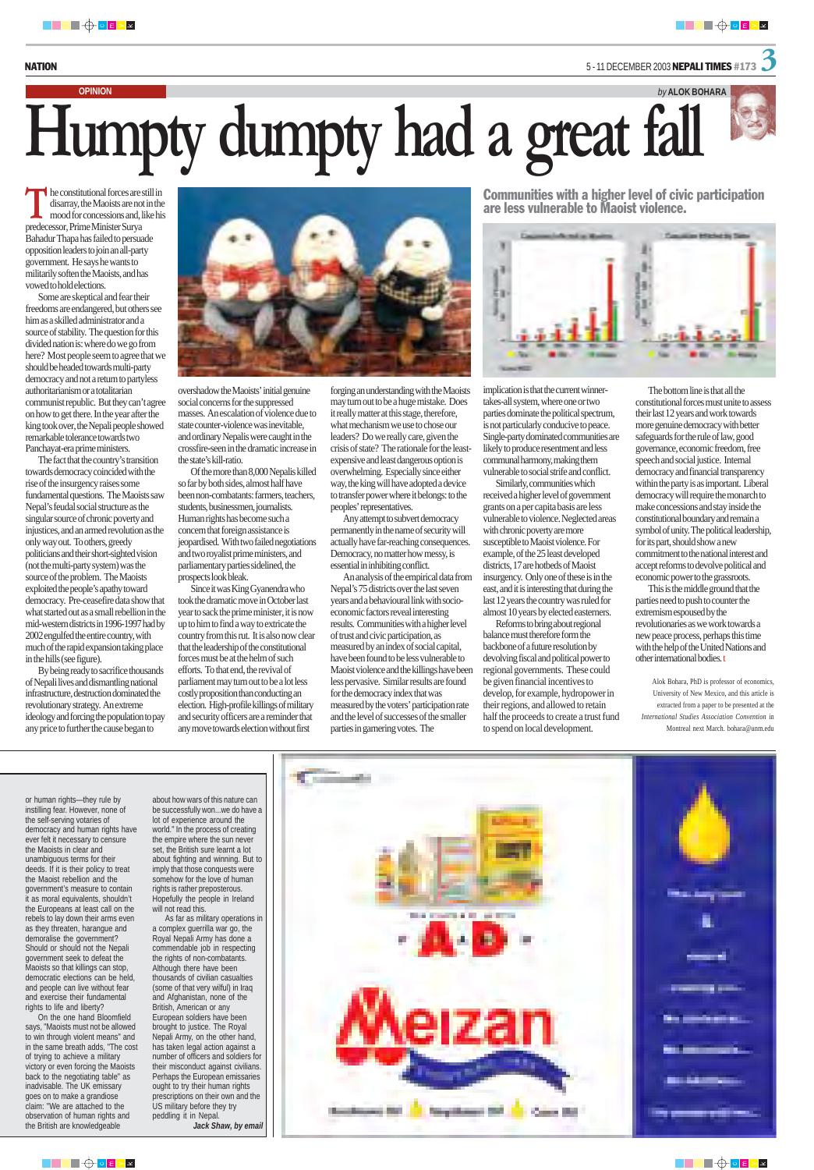NATION 5 - 11 DECEMBER 2003 NEPALI TIMES #173 3

he constitutional forces are still in disarray, the Maoists are not in the mood for concessions and, like his predecessor, Prime Minister Surya Bahadur Thapa has failed to persuade opposition leaders to join an all-party government. He says he wants to militarily soften the Maoists, and has vowed to hold elections.

Some are skeptical and fear their freedoms are endangered, but others see him as a skilled administrator and a source of stability. The question for this divided nation is: where do we go from here? Most people seem to agree that we should be headed towards multi-party democracy and not a return to partyless authoritarianism or a totalitarian communist republic. But they can't agree on how to get there. In the year after the king took over, the Nepali people showed remarkable tolerance towards two Panchayat-era prime ministers.

The fact that the country's transition towards democracy coincided with the rise of the insurgency raises some fundamental questions. The Maoists saw Nepal's feudal social structure as the singular source of chronic poverty and injustices, and an armed revolution as the only way out. To others, greedy politicians and their short-sighted vision (not the multi-party system) was the source of the problem. The Maoists exploited the people's apathy toward democracy. Pre-ceasefire data show that what started out as a small rebellion in the mid-western districts in 1996-1997 had by 2002 engulfed the entire country, with much of the rapid expansion taking place in the hills (see figure).

By being ready to sacrifice thousands of Nepali lives and dismantling national infrastructure, destruction dominated the revolutionary strategy. An extreme ideology and forcing the population to pay any price to further the cause began to



## **OPINION** *by* **ALOK BOHARA Humpty dumpty had a great fall**

overshadow the Maoists' initial genuine social concerns for the suppressed masses. An escalation of violence due to state counter-violence was inevitable, and ordinary Nepalis were caught in the crossfire-seen in the dramatic increase in the state's kill-ratio.

Of the more than 8,000 Nepalis killed so far by both sides, almost half have been non-combatants: farmers, teachers, students, businessmen, journalists. Human rights has become such a concern that foreign assistance is jeopardised. With two failed negotiations and two royalist prime ministers, and parliamentary parties sidelined, the prospects look bleak.

Since it was King Gyanendra who took the dramatic move in October last year to sack the prime minister, it is now up to him to find a way to extricate the country from this rut. It is also now clear that the leadership of the constitutional forces must be at the helm of such efforts. To that end, the revival of parliament may turn out to be a lot less costly proposition than conducting an election. High-profile killings of military and security officers are a reminder that any move towards election without first

forging an understanding with the Maoists may turn out to be a huge mistake. Does it really matter at this stage, therefore, what mechanism we use to chose our leaders? Do we really care, given the crisis of state? The rationale for the leastexpensive and least dangerous option is overwhelming. Especially since either way, the king will have adopted a device to transfer power where it belongs: to the peoples' representatives.

Any attempt to subvert democracy permanently in the name of security will actually have far-reaching consequences. Democracy, no matter how messy, is essential in inhibiting conflict.

An analysis of the empirical data from Nepal's 75 districts over the last seven years and a behavioural link with socioeconomic factors reveal interesting results. Communities with a higher level of trust and civic participation, as measured by an index of social capital, have been found to be less vulnerable to Maoist violence and the killings have been less pervasive. Similar results are found for the democracy index that was measured by the voters' participation rate and the level of successes of the smaller parties in garnering votes. The

Communities with a higher level of civic participation are less vulnerable to Maoist violence.



implication is that the current winnertakes-all system, where one or two parties dominate the political spectrum, is not particularly conducive to peace. Single-party dominated communities are likely to produce resentment and less communal harmony, making them vulnerable to social strife and conflict.

Similarly, communities which received a higher level of government grants on a per capita basis are less vulnerable to violence. Neglected areas with chronic poverty are more susceptible to Maoist violence. For example, of the 25 least developed districts, 17 are hotbeds of Maoist insurgency. Only one of these is in the east, and it is interesting that during the last 12 years the country was ruled for almost 10 years by elected easterners.

Reforms to bring about regional balance must therefore form the backbone of a future resolution by devolving fiscal and political power to regional governments. These could be given financial incentives to develop, for example, hydropower in their regions, and allowed to retain half the proceeds to create a trust fund to spend on local development.

The bottom line is that all the constitutional forces must unite to assess their last 12 years and work towards more genuine democracy with better safeguards for the rule of law, good governance, economic freedom, free speech and social justice. Internal democracy and financial transparency within the party is as important. Liberal democracy will require the monarch to make concessions and stay inside the constitutional boundary and remain a symbol of unity. The political leadership, for its part, should show a new commitment to the national interest and accept reforms to devolve political and economic power to the grassroots.

This is the middle ground that the parties need to push to counter the extremism espoused by the revolutionaries as we work towards a new peace process, perhaps this time with the help of the United Nations and other international bodies. t

Alok Bohara, PhD is professor of economics, University of New Mexico, and this article is extracted from a paper to be presented at the *International Studies Association Convention* in Montreal next March. bohara@unm.edu

or human rights—they rule by

instilling fear. However, none of the self-serving votaries of democracy and human rights have ever felt it necessary to censure the Maoists in clear and unambiguous terms for their deeds. If it is their policy to treat the Maoist rebellion and the government's measure to contain it as moral equivalents, shouldn't the Europeans at least call on the rebels to lay down their arms even as they threaten, harangue and demoralise the government? Should or should not the Nepali government seek to defeat the Maoists so that killings can stop, democratic elections can be held, and people can live without fear and exercise their fundamental rights to life and liberty?

On the one hand Bloomfield says, "Maoists must not be allowed to win through violent means" and in the same breath adds, "The cost of trying to achieve a military victory or even forcing the Maoists back to the negotiating table" as inadvisable. The UK emissary goes on to make a grandiose claim: "We are attached to the observation of human rights and the British are knowledgeable

about how wars of this nature can

be successfully won...we do have a lot of experience around the world." In the process of creating the empire where the sun never set, the British sure learnt a lot about fighting and winning. But to imply that those conquests were somehow for the love of human rights is rather preposterous. Hopefully the people in Ireland will not read this.

As far as military operations in a complex guerrilla war go, the Royal Nepali Army has done a commendable job in respecting the rights of non-combatants. Although there have been thousands of civilian casualties (some of that very wilful) in Iraq and Afghanistan, none of the British, American or any European soldiers have been brought to justice. The Royal Nepali Army, on the other hand, has taken legal action against a number of officers and soldiers for their misconduct against civilians. Perhaps the European emissaries ought to try their human rights prescriptions on their own and the US military before they try peddling it in Nepal. *Jack Shaw, by email*





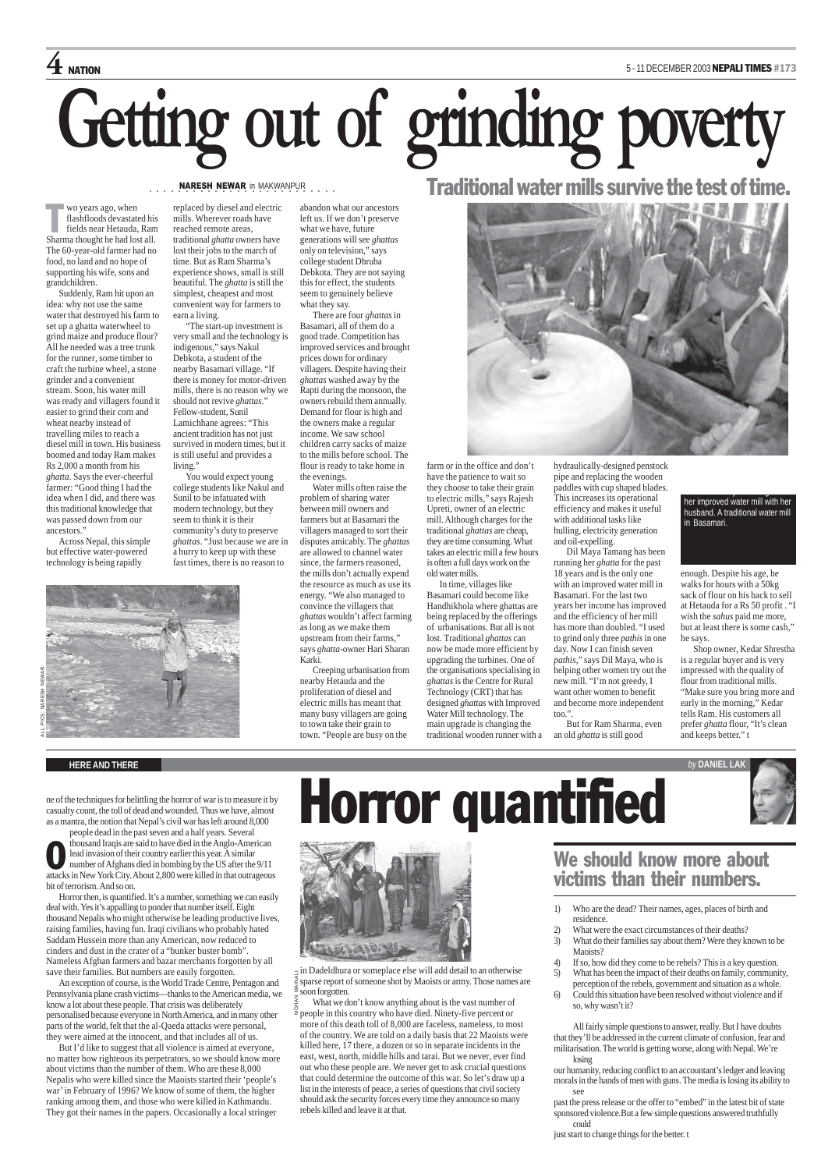#### **HERE AND THERE** *by* **DANIEL LAK**



casualty count, the toll of dead and wounded. Thus we have, almost as a mantra, the notion that Nepal's civil war has left around 8,000

**CO** thousand Iraqis are said to have died in the Anglo-American<br>lead invasion of their country earlier this year. A similar<br>number of Afghans died in bombing by the US after the 9/11<br>attacks in New York City. About 2,800 people dead in the past seven and a half years. Several thousand Iraqis are said to have died in the Anglo-American lead invasion of their country earlier this year. A similar number of Afghans died in bombing by the US after the 9/11 bit of terrorism. And so on.

Horror then, is quantified. It's a number, something we can easily deal with. Yes it's appalling to ponder that number itself. Eight thousand Nepalis who might otherwise be leading productive lives, raising families, having fun. Iraqi civilians who probably hated Saddam Hussein more than any American, now reduced to cinders and dust in the crater of a "bunker buster bomb". Nameless Afghan farmers and bazar merchants forgotten by all save their families. But numbers are easily forgotten.

An exception of course, is the World Trade Centre, Pentagon and Pennsylvania plane crash victims—thanks to the American media, we know a lot about these people. That crisis was deliberately personalised because everyone in North America, and in many other parts of the world, felt that the al-Qaeda attacks were personal, they were aimed at the innocent, and that includes all of us.

But I'd like to suggest that all violence is aimed at everyone, no matter how righteous its perpetrators, so we should know more about victims than the number of them. Who are these 8,000 Nepalis who were killed since the Maoists started their 'people's war' in February of 1996? We know of some of them, the higher ranking among them, and those who were killed in Kathmandu. They got their names in the papers. Occasionally a local stringer

#### We should know more about victims than their numbers.







wo years ago, when<br>flashfloods devastat<br>fields near Hetauda flashfloods devastated his fields near Hetauda, Ram Sharma thought he had lost all. The 60-year-old farmer had no food, no land and no hope of supporting his wife, sons and grandchildren.

> What we don't know anything about is the vast number of  $\frac{8}{2}$  people in this country who have died. Ninety-five percent or more of this death toll of 8,000 are faceless, nameless, to most of the country. We are told on a daily basis that 22 Maoists were killed here, 17 there, a dozen or so in separate incidents in the east, west, north, middle hills and tarai. But we never, ever find out who these people are. We never get to ask crucial questions that could determine the outcome of this war. So let's draw up a list in the interests of peace, a series of questions that civil society should ask the security forces every time they announce so many rebels killed and leave it at that.

"The start-up investment is very small and the technology is indigenous," says Nakul Debkota, a student of the nearby Basamari village. "If there is money for motor-driven mills, there is no reason why we should not revive *ghattas*." Fellow-student, Sunil Lamichhane agrees: "This ancient tradition has not just survived in modern times, but it is still useful and provides a living."

- 1) Who are the dead? Their names, ages, places of birth and residence.
- 2) What were the exact circumstances of their deaths?
- 3) What do their families say about them? Were they known to be Maoists?
- 4) If so, how did they come to be rebels? This is a key question.
- 5) What has been the impact of their deaths on family, community, perception of the rebels, government and situation as a whole.
- 6) Could this situation have been resolved without violence and if so, why wasn't it?

All fairly simple questions to answer, really. But I have doubts that they'll be addressed in the current climate of confusion, fear and militarisation. The world is getting worse, along with Nepal. We're losing

our humanity, reducing conflict to an accountant's ledger and leaving morals in the hands of men with guns. The media is losing its ability to see

past the press release or the offer to "embed" in the latest bit of state sponsored violence.But a few simple questions answered truthfully could

just start to change things for the better. t

## $4$  NATION 5 - 11 DECEMBER 2003 NEPALI TIMES #173 **Getting out of grinding poverty**

Suddenly, Ram hit upon an idea: why not use the same water that destroyed his farm to set up a ghatta waterwheel to grind maize and produce flour? All he needed was a tree trunk for the runner, some timber to craft the turbine wheel, a stone grinder and a convenient stream. Soon, his water mill was ready and villagers found it easier to grind their corn and wheat nearby instead of travelling miles to reach a diesel mill in town. His business boomed and today Ram makes Rs 2,000 a month from his *ghatta*. Says the ever-cheerful farmer: "Good thing I had the idea when I did, and there was this traditional knowledge that was passed down from our ancestors."

> $\exists$  in Dadeldhura or someplace else will add detail to an otherwise sparse report of someone shot by Maoists or army. Those names are  $\geq$  soon forgotten. MOHAN MAINALI

Across Nepal, this simple but effective water-powered technology is being rapidly

replaced by diesel and electric mills. Wherever roads have reached remote areas, traditional *ghatta* owners have lost their jobs to the march of time. But as Ram Sharma's experience shows, small is still beautiful. The *ghatta* is still the simplest, cheapest and most convenient way for farmers to earn a living.

NARESH NEWAR in MAKWANPUR<br>......

You would expect young college students like Nakul and Sunil to be infatuated with modern technology, but they seem to think it is their community's duty to preserve *ghattas*. "Just because we are in a hurry to keep up with these fast times, there is no reason to

abandon what our ancestors left us. If we don't preserve what we have, future generations will see *ghattas* only on television," says college student Dhruba Debkota. They are not saying this for effect, the students seem to genuinely believe what they say.

There are four *ghattas* in Basamari, all of them do a good trade. Competition has improved services and brought prices down for ordinary villagers. Despite having their *ghattas* washed away by the Rapti during the monsoon, the owners rebuild them annually. Demand for flour is high and the owners make a regular income. We saw school children carry sacks of maize to the mills before school. The flour is ready to take home in the evenings.

Water mills often raise the problem of sharing water between mill owners and farmers but at Basamari the villagers managed to sort their disputes amicably. The *ghattas* are allowed to channel water since, the farmers reasoned, the mills don't actually expend the resource as much as use its energy. "We also managed to convince the villagers that *ghattas* wouldn't affect farming as long as we make them upstream from their farms," says *ghatta*-owner Hari Sharan Karki.

Creeping urbanisation from nearby Hetauda and the proliferation of diesel and electric mills has meant that many busy villagers are going to town take their grain to town. "People are busy on the

Traditional water mills survive the test of time.



farm or in the office and don't have the patience to wait so they choose to take their grain to electric mills," says Rajesh Upreti, owner of an electric mill. Although charges for the traditional *ghattas* are cheap, they are time consuming. What takes an electric mill a few hours is often a full days work on the old water mills.

In time, villages like Basamari could become like Handhikhola where ghattas are being replaced by the offerings of urbanisations. But all is not lost. Traditional *ghattas* can now be made more efficient by upgrading the turbines. One of the organisations specialising in *ghattas* is the Centre for Rural Technology (CRT) that has designed *ghattas* with Improved Water Mill technology. The main upgrade is changing the traditional wooden runner with a hydraulically-designed penstock pipe and replacing the wooden paddles with cup shaped blades. This increases its operational efficiency and makes it useful with additional tasks like hulling, electricity generation and oil-expelling.

Dil Maya Tamang has been running her *ghatta* for the past 18 years and is the only one with an improved water mill in Basamari. For the last two years her income has improved and the efficiency of her mill has more than doubled. "I used to grind only three *pathis* in one day. Now I can finish seven *pathis*," says Dil Maya, who is helping other women try out the new mill. "I'm not greedy, I want other women to benefit and become more independent too.".

But for Ram Sharma, even an old *ghatta* is still good

enough. Despite his age, he walks for hours with a 50kg sack of flour on his back to sell at Hetauda for a Rs 50 profit . "I wish the *sahus* paid me more, but at least there is some cash," he says.

Shop owner, Kedar Shrestha is a regular buyer and is very impressed with the quality of flour from traditional mills. "Make sure you bring more and early in the morning," Kedar tells Ram. His customers all prefer *ghatta* flour, "It's clean and keeps better." t





in town. Dil Maya Tamang inside

her improved water mill with her husband. A traditional water mill in Basamari.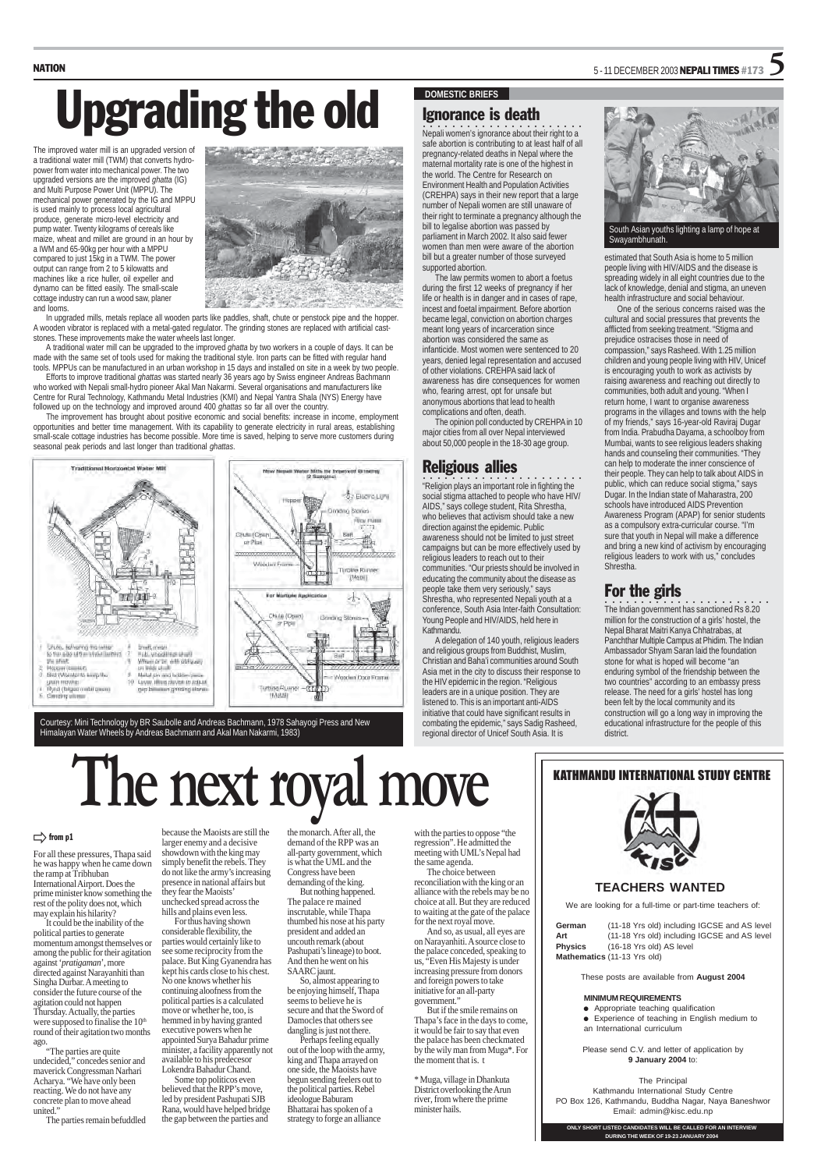#### **DOMESTIC BRIEFS**

The improved water mill is an upgraded version of a traditional water mill (TWM) that converts hydropower from water into mechanical power. The two upgraded versions are the improved *ghatta* (IG) and Multi Purpose Power Unit (MPPU). The mechanical power generated by the IG and MPPU is used mainly to process local agricultural produce, generate micro-level electricity and pump water. Twenty kilograms of cereals like maize, wheat and millet are ground in an hour by a IWM and 65-90kg per hour with a MPPU compared to just 15kg in a TWM. The power output can range from 2 to 5 kilowatts and machines like a rice huller, oil expeller and dynamo can be fitted easily. The small-scale cottage industry can run a wood saw, planer and looms.



In upgraded mills, metals replace all wooden parts like paddles, shaft, chute or penstock pipe and the hopper. A wooden vibrator is replaced with a metal-gated regulator. The grinding stones are replaced with artificial caststones. These improvements make the water wheels last longer.

A traditional water mill can be upgraded to the improved *ghatta* by two workers in a couple of days. It can be made with the same set of tools used for making the traditional style. Iron parts can be fitted with regular hand tools. MPPUs can be manufactured in an urban workshop in 15 days and installed on site in a week by two people.

- $\bullet$  Appropriate teaching qualification
- Experience of teaching in English medium to an International curriculum

Efforts to improve traditional *ghattas* was started nearly 36 years ago by Swiss engineer Andreas Bachmann who worked with Nepali small-hydro pioneer Akal Man Nakarmi. Several organisations and manufacturers like Centre for Rural Technology, Kathmandu Metal Industries (KMI) and Nepal Yantra Shala (NYS) Energy have followed up on the technology and improved around 400 *ghattas* so far all over the country.

 $\ldots$   $\ldots$   $\ldots$   $\ldots$   $\ldots$   $\ldots$   $\ldots$   $\ldots$   $\ldots$   $\ldots$   $\ldots$   $\ldots$   $\ldots$   $\ldots$   $\ldots$   $\ldots$   $\ldots$   $\ldots$   $\ldots$   $\ldots$   $\ldots$   $\ldots$   $\ldots$   $\ldots$   $\ldots$   $\ldots$   $\ldots$   $\ldots$   $\ldots$   $\ldots$   $\ldots$   $\ldots$   $\ldots$   $\ldots$   $\ldots$   $\ldots$   $\ldots$ safe abortion is contributing to at least half of all pregnancy-related deaths in Nepal where the maternal mortality rate is one of the highest in the world. The Centre for Research on Environment Health and Population Activities (CREHPA) says in their new report that a large number of Nepali women are still unaware of their right to terminate a pregnancy although the bill to legalise abortion was passed by parliament in March 2002. It also said fewer women than men were aware of the abortion bill but a greater number of those surveyed supported abortion.

The improvement has brought about positive economic and social benefits: increase in income, employment opportunities and better time management. With its capability to generate electricity in rural areas, establishing small-scale cottage industries has become possible. More time is saved, helping to serve more customers during seasonal peak periods and last longer than traditional *ghattas*.



### NATION  $5 - 11$  DECEMBER 2003 NEPALI TIMES #173  $\overline{\textbf{S}}$

## Upgrading the old

We are looking for a full-time or part-time teachers of:

| German                      | (11-18 Yrs old) including IGCSE and AS level |  |  |  |
|-----------------------------|----------------------------------------------|--|--|--|
| Art                         | (11-18 Yrs old) including IGCSE and AS level |  |  |  |
| <b>Physics</b>              | (16-18 Yrs old) AS level                     |  |  |  |
| Mathematics (11-13 Yrs old) |                                              |  |  |  |

These posts are available from **August 2004**

#### **MINIMUM REQUIREMENTS**

**CO**<br>"Religion plays an important role in fighting the social stigma attached to people who have HIV/ AIDS," says college student, Rita Shrestha, who believes that activism should take a new direction against the epidemic. Public awareness should not be limited to just street campaigns but can be more effectively used by religious leaders to reach out to their communities. "Our priests should be involved in educating the community about the disease as people take them very seriously," says Shrestha, who represented Nepali youth at a conference, South Asia Inter-faith Consultation: Young People and HIV/AIDS, held here in Kathmandu.

> Please send C.V. and letter of application by **9 January 2004** to:

#### The Principal

Kathmandu International Study Centre PO Box 126, Kathmandu, Buddha Nagar, Naya Baneshwor Email: admin@kisc.edu.np

#### KATHMANDU INTERNATIONAL STUDY CENTRE

#### $\Rightarrow$  from p1

**ONLY SHORT LISTED CANDIDATES WILL BE CALLED FOR AN INTERVIEW DURING THE WEEK OF 19-23 JANUARY 2004**

#### **TEACHERS WANTED**

Courtesy: Mini Technology by BR Saubolle and Andreas Bachmann, 1978 Sahayogi Press and New Himalayan Water Wheels by Andreas Bachmann and Akal Man Nakarmi, 1983)

#### Ignorance is death

The law permits women to abort a foetus during the first 12 weeks of pregnancy if her life or health is in danger and in cases of rape, incest and foetal impairment. Before abortion became legal, conviction on abortion charges meant long years of incarceration since abortion was considered the same as infanticide. Most women were sentenced to 20 years, denied legal representation and accused of other violations. CREHPA said lack of awareness has dire consequences for women who, fearing arrest, opt for unsafe but anonymous abortions that lead to health complications and often, death.

The opinion poll conducted by CREHPA in 10 major cities from all over Nepal interviewed about 50,000 people in the 18-30 age group.

#### Religious allies

A delegation of 140 youth, religious leaders and religious groups from Buddhist, Muslim, Christian and Baha'i communities around South Asia met in the city to discuss their response to the HIV epidemic in the region. "Religious leaders are in a unique position. They are listened to. This is an important anti-AIDS initiative that could have significant results in combating the epidemic," says Sadig Rasheed, regional director of Unicef South Asia. It is



estimated that South Asia is home to 5 million people living with HIV/AIDS and the disease is spreading widely in all eight countries due to the lack of knowledge, denial and stigma, an uneven health infrastructure and social behaviour.

One of the serious concerns raised was the cultural and social pressures that prevents the afflicted from seeking treatment. "Stigma and prejudice ostracises those in need of compassion," says Rasheed. With 1.25 million children and young people living with HIV, Unicef is encouraging youth to work as activists by raising awareness and reaching out directly to communities, both adult and young. "When I return home, I want to organise awareness programs in the villages and towns with the help of my friends," says 16-year-old Raviraj Dugar from India. Prabudha Dayama, a schoolboy from Mumbai, wants to see religious leaders shaking hands and counseling their communities. "They can help to moderate the inner conscience of their people. They can help to talk about AIDS in public, which can reduce social stigma," says Dugar. In the Indian state of Maharastra, 200 schools have introduced AIDS Prevention Awareness Program (APAP) for senior students as a compulsory extra-curricular course. "I'm sure that youth in Nepal will make a difference and bring a new kind of activism by encouraging religious leaders to work with us," concludes Shrestha.

#### For the girls

○○○○○○○○○○○○ ○○○○○○○○○○○ The Indian government has sanctioned Rs 8.20 million for the construction of a girls' hostel, the Nepal Bharat Maitri Kanya Chhatrabas, at Panchthar Multiple Campus at Phidim. The Indian Ambassador Shyam Saran laid the foundation stone for what is hoped will become "an enduring symbol of the friendship between the two countries" according to an embassy press release. The need for a girls' hostel has long been felt by the local community and its construction will go a long way in improving the educational infrastructure for the people of this district.

South Asian youths lighting a lamp of hope at Swayambhunath.

For all these pressures, Thapa said he was happy when he came down the ramp at Tribhuban International Airport. Does the prime minister know something the rest of the polity does not, which may explain his hilarity?

It could be the inability of the political parties to generate momentum amongst themselves or among the public for their agitation against '*pratigaman*', more directed against Narayanhiti than Singha Durbar. A meeting to consider the future course of the agitation could not happen Thursday. Actually, the parties were supposed to finalise the 10<sup>th</sup> round of their agitation two months ago.

"The parties are quite undecided," concedes senior and maverick Congressman Narhari Acharya. "We have only been reacting. We do not have any concrete plan to move ahead united."

The parties remain befuddled

because the Maoists are still the larger enemy and a decisive showdown with the king may simply benefit the rebels. They do not like the army's increasing presence in national affairs but they fear the Maoists' unchecked spread across the hills and plains even less.

For thus having shown considerable flexibility, the parties would certainly like to see some reciprocity from the palace. But King Gyanendra has kept his cards close to his chest. No one knows whether his continuing aloofness from the political parties is a calculated move or whether he, too, is hemmed in by having granted executive powers when he appointed Surya Bahadur prime minister, a facility apparently not available to his predecesor Lokendra Bahadur Chand.

Some top politicos even believed that the RPP's move, led by president Pashupati SJB Rana, would have helped bridge the gap between the parties and

the monarch. After all, the demand of the RPP was an all-party government, which is what the UML and the Congress have been demanding of the king.

But nothing happened. The palace re mained inscrutable, while Thapa thumbed his nose at his party president and added an uncouth remark (about Pashupati's lineage) to boot. And then he went on his SAARC jaunt.

So, almost appearing to be enjoying himself, Thapa seems to believe he is secure and that the Sword of Damocles that others see dangling is just not there.

Perhaps feeling equally out of the loop with the army, king and Thapa arrayed on one side, the Maoists have begun sending feelers out to the political parties. Rebel ideologue Baburam Bhattarai has spoken of a strategy to forge an alliance

with the parties to oppose "the regression". He admitted the meeting with UML's Nepal had the same agenda.

The choice between reconciliation with the king or an alliance with the rebels may be no choice at all. But they are reduced to waiting at the gate of the palace for the next royal move.

And so, as usual, all eyes are on Narayanhiti. A source close to the palace conceded, speaking to us, "Even His Majesty is under increasing pressure from donors and foreign powers to take initiative for an all-party government."

But if the smile remains on Thapa's face in the days to come, it would be fair to say that even the palace has been checkmated by the wily man from Muga\*. For the moment that is. t

\* Muga, village in Dhankuta District overlooking the Arun river, from where the prime minister hails.



## **The next royal move**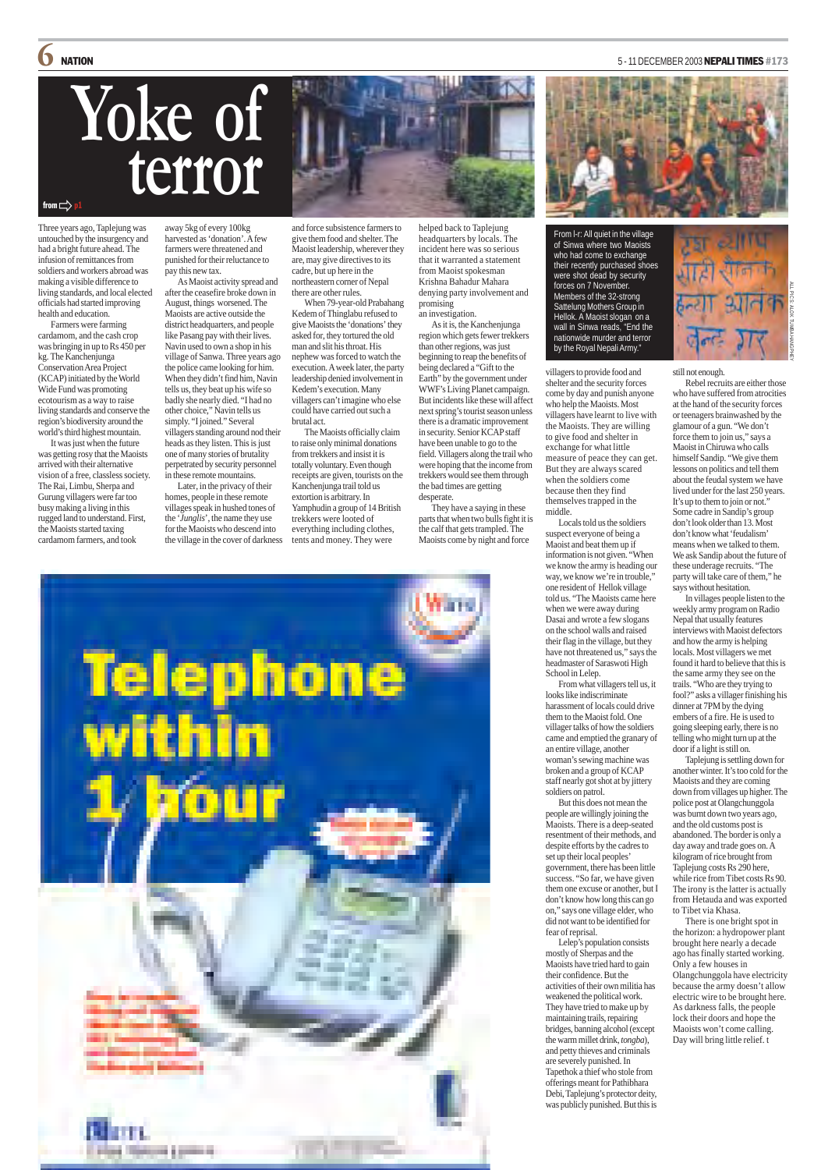Three years ago, Taplejung was untouched by the insurgency and had a bright future ahead. The infusion of remittances from soldiers and workers abroad was making a visible difference to living standards, and local elected officials had started improving health and education.

Farmers were farming cardamom, and the cash crop was bringing in up to Rs 450 per kg. The Kanchenjunga Conservation Area Project (KCAP) initiated by the World Wide Fund was promoting ecotourism as a way to raise living standards and conserve the region's biodiversity around the world's third highest mountain.

It was just when the future was getting rosy that the Maoists arrived with their alternative vision of a free, classless society. The Rai, Limbu, Sherpa and Gurung villagers were far too busy making a living in this rugged land to understand. First, the Maoists started taxing cardamom farmers, and took

away 5kg of every 100kg harvested as 'donation'. A few farmers were threatened and punished for their reluctance to pay this new tax.

As Maoist activity spread and after the ceasefire broke down in August, things worsened. The Maoists are active outside the district headquarters, and people like Pasang pay with their lives. Navin used to own a shop in his village of Sanwa. Three years ago the police came looking for him. When they didn't find him, Navin tells us, they beat up his wife so badly she nearly died. "I had no other choice," Navin tells us simply. "I joined." Several villagers standing around nod their heads as they listen. This is just one of many stories of brutality perpetrated by security personnel in these remote mountains.

Later, in the privacy of their homes, people in these remote villages speak in hushed tones of the '*Junglis*', the name they use for the Maoists who descend into the village in the cover of darkness

and force subsistence farmers to give them food and shelter. The Maoist leadership, wherever they are, may give directives to its cadre, but up here in the northeastern corner of Nepal there are other rules.

When 79-year-old Prabahang Kedem of Thinglabu refused to give Maoists the 'donations' they asked for, they tortured the old man and slit his throat. His nephew was forced to watch the execution. A week later, the party leadership denied involvement in Kedem's execution. Many villagers can't imagine who else could have carried out such a brutal act.

The Maoists officially claim to raise only minimal donations from trekkers and insist it is totally voluntary. Even though receipts are given, tourists on the Kanchenjunga trail told us extortion is arbitrary. In Yamphudin a group of 14 British trekkers were looted of everything including clothes, tents and money. They were

helped back to Taplejung headquarters by locals. The incident here was so serious that it warranted a statement from Maoist spokesman Krishna Bahadur Mahara denying party involvement and promising an investigation.

As it is, the Kanchenjunga region which gets fewer trekkers than other regions, was just beginning to reap the benefits of being declared a "Gift to the Earth" by the government under WWF's Living Planet campaign. But incidents like these will affect next spring's tourist season unless there is a dramatic improvement in security. Senior KCAP staff have been unable to go to the field. Villagers along the trail who were hoping that the income from trekkers would see them through the bad times are getting desperate.

> Taplejung is settling down for another winter. It's too cold for the Maoists and they are coming down from villages up higher. The police post at Olangchunggola was burnt down two years ago, and the old customs post is abandoned. The border is only a day away and trade goes on. A kilogram of rice brought from Taplejung costs Rs 290 here, while rice from Tibet costs Rs 90. The irony is the latter is actually from Hetauda and was exported to Tibet via Khasa. There is one bright spot in the horizon: a hydropower plant brought here nearly a decade ago has finally started working. Only a few houses in Olangchunggola have electricity because the army doesn't allow electric wire to be brought here. As darkness falls, the people lock their doors and hope the Maoists won't come calling. Day will bring little relief. t

They have a saying in these parts that when two bulls fight it is the calf that gets trampled. The Maoists come by night and force



### **6** NATION 5 - 11 DECEMBER 2003 NEPALI TIMES #173



villagers to provide food and shelter and the security forces come by day and punish anyone who help the Maoists. Most villagers have learnt to live with the Maoists. They are willing to give food and shelter in exchange for what little measure of peace they can get. But they are always scared when the soldiers come because then they find themselves trapped in the middle.

## from  $\Rightarrow$ **Yoke of terror**



Locals told us the soldiers suspect everyone of being a Maoist and beat them up if information is not given. "When we know the army is heading our way, we know we're in trouble," one resident of Hellok village told us. "The Maoists came here when we were away during Dasai and wrote a few slogans on the school walls and raised their flag in the village, but they have not threatened us," says the headmaster of Saraswoti High School in Lelep.

From what villagers tell us, it looks like indiscriminate harassment of locals could drive them to the Maoist fold. One villager talks of how the soldiers came and emptied the granary of an entire village, another woman's sewing machine was broken and a group of KCAP staff nearly got shot at by jittery soldiers on patrol.

But this does not mean the people are willingly joining the Maoists. There is a deep-seated resentment of their methods, and despite efforts by the cadres to set up their local peoples' government, there has been little success. "So far, we have given them one excuse or another, but I don't know how long this can go on," says one village elder, who did not want to be identified for fear of reprisal. Lelep's population consists mostly of Sherpas and the Maoists have tried hard to gain their confidence. But the activities of their own militia has weakened the political work. They have tried to make up by maintaining trails, repairing bridges, banning alcohol (except the warm millet drink, *tongba*), and petty thieves and criminals are severely punished. In Tapethok a thief who stole from offerings meant for Pathibhara Debi, Taplejung's protector deity, was publicly punished. But this is

still not enough.

Rebel recruits are either those who have suffered from atrocities at the hand of the security forces or teenagers brainwashed by the glamour of a gun. "We don't force them to join us," says a Maoist in Chiruwa who calls himself Sandip. "We give them lessons on politics and tell them about the feudal system we have lived under for the last 250 years. It's up to them to join or not." Some cadre in Sandip's group don't look older than 13. Most don't know what 'feudalism' means when we talked to them. We ask Sandip about the future of these underage recruits. "The party will take care of them," he says without hesitation.

In villages people listen to the weekly army program on Radio Nepal that usually features interviews with Maoist defectors and how the army is helping locals. Most villagers we met found it hard to believe that this is the same army they see on the trails. "Who are they trying to fool?" asks a villager finishing his dinner at 7PM by the dying embers of a fire. He is used to going sleeping early, there is no telling who might turn up at the door if a light is still on.

From l-r: All quiet in the village of Sinwa where two Maoists who had come to exchange their recently purchased shoes were shot dead by security forces on 7 November. Members of the 32-strong Sattelung Mothers Group in Hellok. A Maoist slogan on a wall in Sinwa reads, "End the nationwide murder and terror by the Royal Nepali Army."

# ALL PICS: ALOK TUMBAHANGPHEY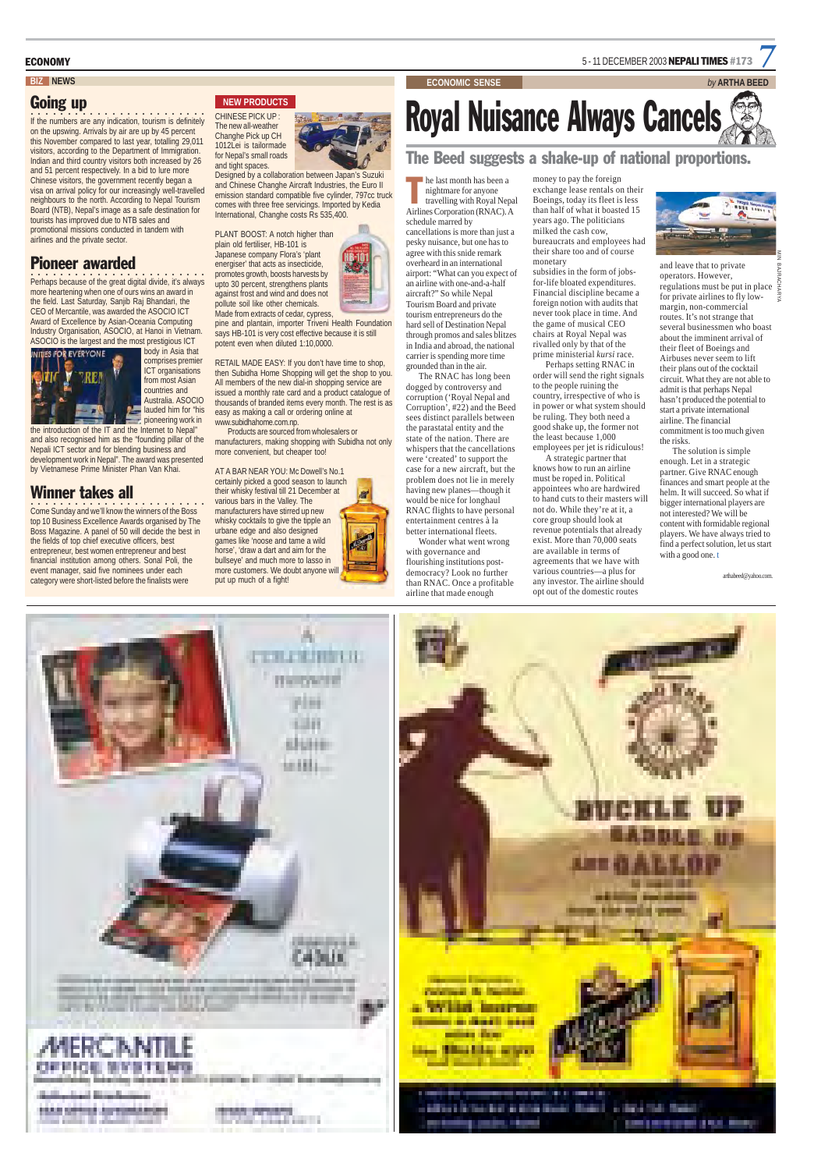he last month has been a nightmare for anyone travelling with Royal Nepal he last month has been a<br>nightmare for anyone<br>travelling with Royal Nepa<br>Airlines Corporation (RNAC). A

schedule marred by cancellations is more than just a pesky nuisance, but one has to agree with this snide remark overheard in an international airport: "What can you expect of an airline with one-and-a-half aircraft?" So while Nepal Tourism Board and private tourism entrepreneurs do the hard sell of Destination Nepal through promos and sales blitzes in India and abroad, the national carrier is spending more time grounded than in the air.

The RNAC has long been dogged by controversy and corruption ('Royal Nepal and Corruption', #22) and the Beed sees distinct parallels between the parastatal entity and the state of the nation. There are whispers that the cancellations were 'created' to support the case for a new aircraft, but the problem does not lie in merely having new planes—though it would be nice for longhaul RNAC flights to have personal entertainment centres à la better international fleets. Wonder what went wrong

with governance and flourishing institutions postdemocracy? Look no further than RNAC. Once a profitable airline that made enough

money to pay the foreign exchange lease rentals on their Boeings, today its fleet is less than half of what it boasted 15 years ago. The politicians milked the cash cow, bureaucrats and employees had their share too and of course monetary

> The solution is simple enough. Let in a strategic partner. Give RNAC enough finances and smart people at the helm. It will succeed. So what if bigger international players are not interested? We will be content with formidable regional players. We have always tried to find a perfect solution, let us start with a good one. t

subsidies in the form of jobsfor-life bloated expenditures. Financial discipline became a foreign notion with audits that never took place in time. And the game of musical CEO chairs at Royal Nepal was rivalled only by that of the prime ministerial *kursi* race.

### **BIZ NEWS ECONOMIC SENSE** *by* **ARTHA BEED** Royal Nuisance Always Cancels The Beed suggests a shake-up of national proportions.

Perhaps setting RNAC in order will send the right signals to the people ruining the country, irrespective of who is in power or what system should be ruling. They both need a good shake up, the former not the least because 1,000 employees per jet is ridiculous!

If the numbers are any indication, tourism is definitely on the upswing. Arrivals by air are up by 45 percent this November compared to last year, totalling 29,011 visitors, according to the Department of Immigration. Indian and third country visitors both increased by 26 and 51 percent respectively. In a bid to lure more Chinese visitors, the government recently began a visa on arrival policy for our increasingly well-travelled neighbours to the north. According to Nepal Tourism Board (NTB), Nepal's image as a safe destination for tourists has improved due to NTB sales and promotional missions conducted in tandem with airlines and the private sector.

**Perhaps because of the great digital divide, it's always** more heartening when one of ours wins an award in the field. Last Saturday, Sanjib Raj Bhandari, the CEO of Mercantile, was awarded the ASOCIO ICT Award of Excellence by Asian-Oceania Computing Industry Organisation, ASOCIO, at Hanoi in Vietnam. ASOCIO is the largest and the most prestigious ICT

> A strategic partner that knows how to run an airline must be roped in. Political appointees who are hardwired to hand cuts to their masters will not do. While they're at it, a core group should look at revenue potentials that already exist. More than 70,000 seats are available in terms of agreements that we have with various countries—a plus for any investor. The airline should opt out of the domestic routes

and leave that to private operators. However, regulations must be put in place  $\frac{1}{2}$ for private airlines to fly lowmargin, non-commercial routes. It's not strange that several businessmen who boast about the imminent arrival of their fleet of Boeings and Airbuses never seem to lift their plans out of the cocktail circuit. What they are not able to admit is that perhaps Nepal hasn't produced the potential to start a private international airline. The financial commitment is too much given the risks.

arthabeed@yahoo.com.





ECONOMY **EXAMPLE 2003 NEPALI TIMES** #173

#### Going up

#### Pioneer awarded



comprises premier ICT organisations from most Asian countries and Australia. ASOCIO lauded him for "his pioneering work in

the introduction of the IT and the Internet to Nepal" and also recognised him as the "founding pillar of the Nepali ICT sector and for blending business and development work in Nepal". The award was presented by Vietnamese Prime Minister Phan Van Khai.

#### Winner takes all

○○○○○○○○○○○○○○ ○○○○○○○○○○ Come Sunday and we'll know the winners of the Boss top 10 Business Excellence Awards organised by The Boss Magazine. A panel of 50 will decide the best in the fields of top chief executive officers, best entrepreneur, best women entrepreneur and best financial institution among others. Sonal Poli, the event manager, said five nominees under each category were short-listed before the finalists were



#### **NEW PRODUCTS**



Designed by a collaboration between Japan's Suzuki and Chinese Changhe Aircraft Industries, the Euro II emission standard compatible five cylinder, 797cc truck comes with three free servicings. Imported by Kedia International, Changhe costs Rs 535,400.

PLANT BOOST: A notch higher than plain old fertiliser, HB-101 is Japanese company Flora's 'plant energiser' that acts as insecticide, promotes growth, boosts harvests by upto 30 percent, strengthens plants against frost and wind and does not pollute soil like other chemicals. Made from extracts of cedar, cypress,

pine and plantain, importer Triveni Health Foundation says HB-101 is very cost effective because it is still potent even when diluted 1:10,0000.

RETAIL MADE EASY: If you don't have time to shop, then Subidha Home Shopping will get the shop to you. All members of the new dial-in shopping service are issued a monthly rate card and a product catalogue of thousands of branded items every month. The rest is as easy as making a call or ordering online at www.subidhahome.com.np.

Products are sourced from wholesalers or manufacturers, making shopping with Subidha not only more convenient, but cheaper too!

AT A BAR NEAR YOU: Mc Dowell's No.1 certainly picked a good season to launch their whisky festival till 21 December at various bars in the Valley. The manufacturers have stirred up new whisky cocktails to give the tipple an urbane edge and also designed games like 'noose and tame a wild horse', 'draw a dart and aim for the bullseye' and much more to lasso in more customers. We doubt anyone will put up much of a fight!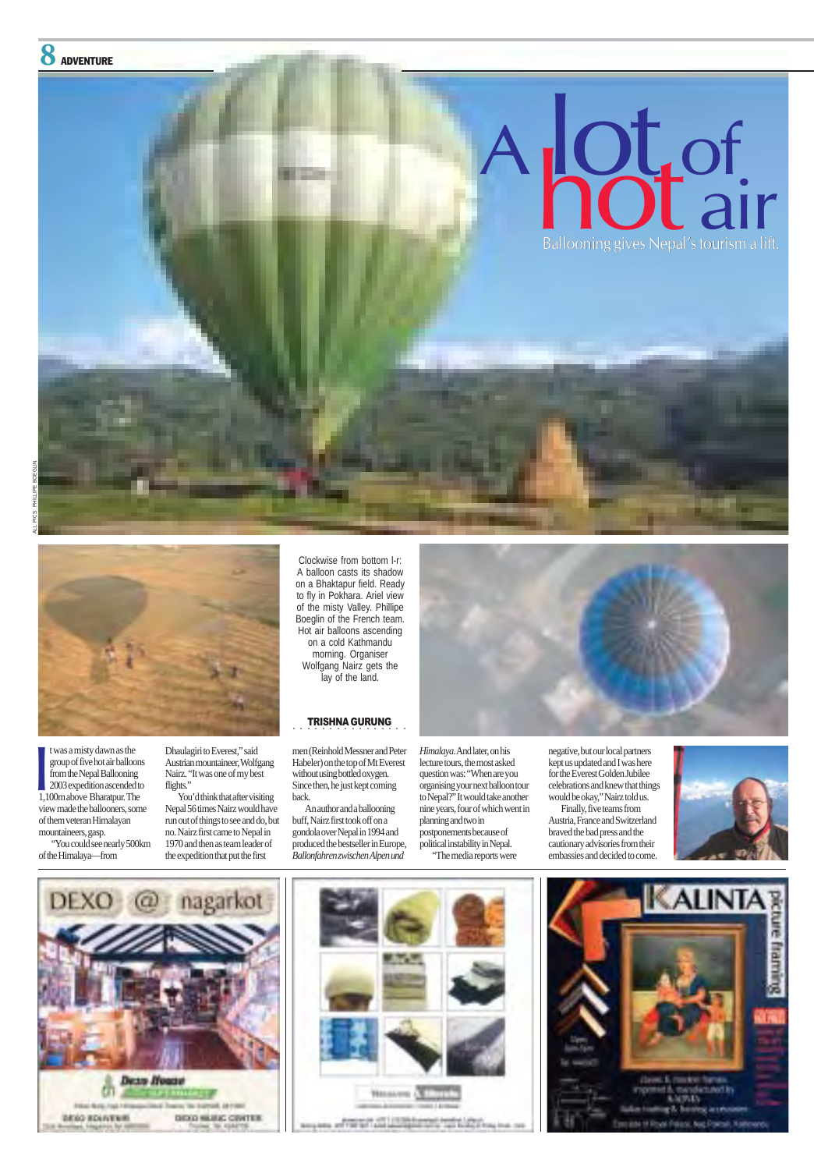t was a misty dawn as the group of five hot air balloons from the Nepal Ballooning 2003 expedition ascended to t was a misty dawn as the<br>group of five hot air balloon<br>from the Nepal Ballooning<br>2003 expedition ascended to<br>1,100m above Bharatpur. The view made the ballooners, some of them veteran Himalayan mountaineers, gasp.

"You could see nearly 500km of the Himalaya—from

*Himalaya*. And later, on his lecture tours, the most asked question was: "When are you organising your next balloon tour to Nepal?" It would take another

Dhaulagiri to Everest," said Austrian mountaineer, Wolfgang Nairz. "It was one of my best flights."

You'd think that after visiting

nine years, four of which went in planning and two in postponements because of political instability in Nepal. "The media reports were







negative, but our local partners kept us updated and I was here for the Everest Golden Jubilee celebrations and knew that things would be okay," Nairz told us. Finally, five teams from Austria, France and Switzerland braved the bad press and the cautionary advisories from their embassies and decided to come.





Nepal 56 times Nairz would have run out of things to see and do, but no. Nairz first came to Nepal in 1970 and then as team leader of the expedition that put the first

men (Reinhold Messner and Peter Habeler) on the top of Mt Everest without using bottled oxygen. Since then, he just kept coming back.



An author and a ballooning buff, Nairz first took off on a gondola over Nepal in 1994 and produced the bestseller in Europe, *Ballonfahren zwischen Alpen und*

Clockwise from bottom l-r: A balloon casts its shadow on a Bhaktapur field. Ready to fly in Pokhara. Ariel view of the misty Valley. Phillipe Boeglin of the French team. Hot air balloons ascending on a cold Kathmandu morning. Organiser Wolfgang Nairz gets the lay of the land.



#### ○○○○○○○○○○ TRISHNA GURUNG ○○○○○○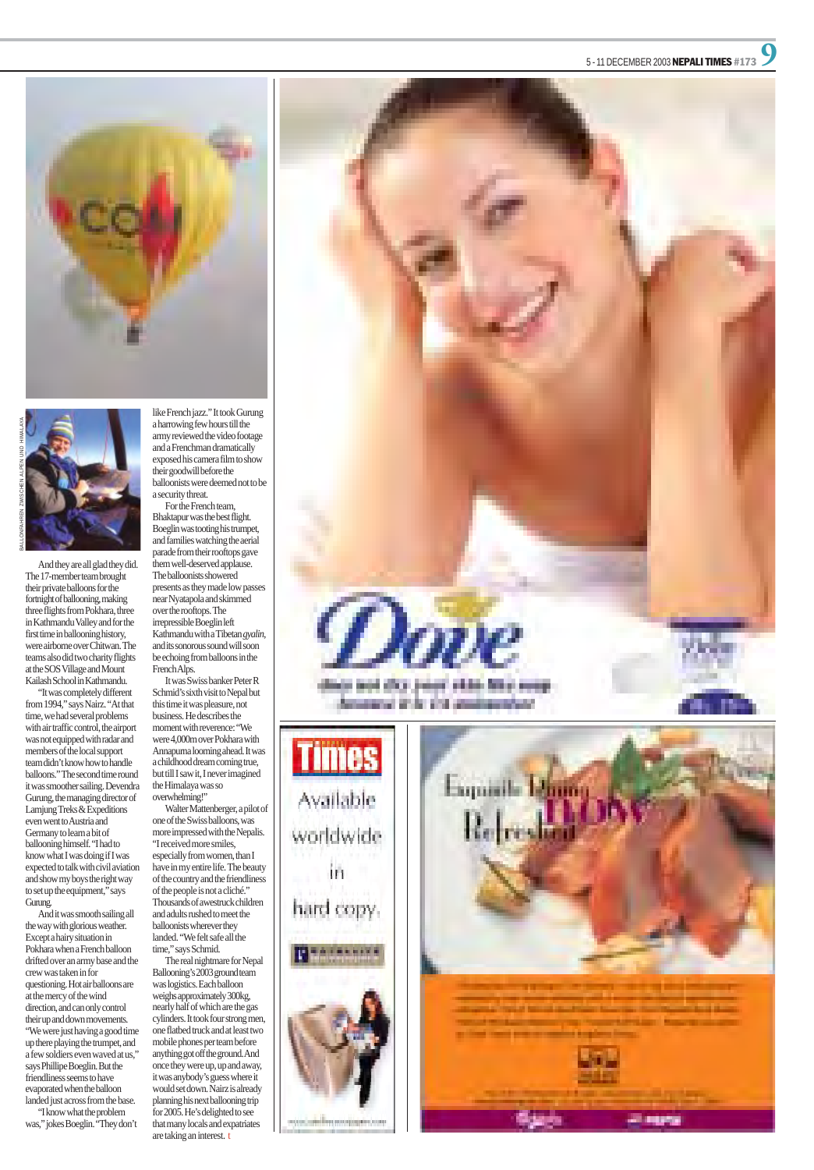#### 5 - 11 DECEMBER 2003 NEPALI TIMES #173





And they are all glad they did. The 17-member team brought their private balloons for the fortnight of ballooning, making three flights from Pokhara, three in Kathmandu Valley and for the first time in ballooning history, were airborne over Chitwan. The teams also did two charity flights at the SOS Village and Mount Kailash School in Kathmandu.

"It was completely different from 1994," says Nairz. "At that time, we had several problems with air traffic control, the airport was not equipped with radar and members of the local support team didn't know how to handle balloons." The second time round it was smoother sailing. Devendra Gurung, the managing director of Lamjung Treks & Expeditions even went to Austria and Germany to learn a bit of ballooning himself. "I had to know what I was doing if I was expected to talk with civil aviation and show my boys the right way to set up the equipment," says Gurung. And it was smooth sailing all the way with glorious weather. Except a hairy situation in Pokhara when a French balloon drifted over an army base and the crew was taken in for questioning. Hot air balloons are at the mercy of the wind direction, and can only control their up and down movements. "We were just having a good time up there playing the trumpet, and a few soldiers even waved at us," says Phillipe Boeglin. But the friendliness seems to have evaporated when the balloon landed just across from the base. "I know what the problem was," jokes Boeglin. "They don't

Walter Mattenberger, a pilot of one of the Swiss balloons, was more impressed with the Nepalis. "I received more smiles, especially from women, than I have in my entire life. The beauty of the country and the friendliness of the people is not a cliché." Thousands of awestruck children and adults rushed to meet the balloonists wherever they landed. "We felt safe all the time," says Schmid.

like French jazz." It took Gurung a harrowing few hours till the army reviewed the video footage and a Frenchman dramatically exposed his camera film to show their goodwill before the balloonists were deemed not to be a security threat.

For the French team, Bhaktapur was the best flight. Boeglin was tooting his trumpet, and families watching the aerial parade from their rooftops gave them well-deserved applause. The balloonists showered presents as they made low passes near Nyatapola and skimmed over the rooftops. The irrepressible Boeglin left Kathmandu with a Tibetan *gyalin* , and its sonorous sound will soon be echoing from balloons in the French Alps.

It was Swiss banker Peter R Schmid's sixth visit to Nepal but this time it was pleasure, not business. He describes the moment with reverence: "We were 4,000m over Pokhara with Annapurna looming ahead. It was a childhood dream coming true, but till I saw it, I never imagined the Himalaya was so overwhelming!"

The real nightmare for Nepal Ballooning's 2003 ground team was logistics. Each balloon weighs approximately 300kg, nearly half of which are the gas cylinders. It took four strong men, one flatbed truck and at least two mobile phones per team before anything got off the ground. And once they were up, up and away, it was anybody's guess where it would set down. Nairz is already planning his next ballooning trip for 2005. He's delighted to see that many locals and expatriates are taking an interest. t





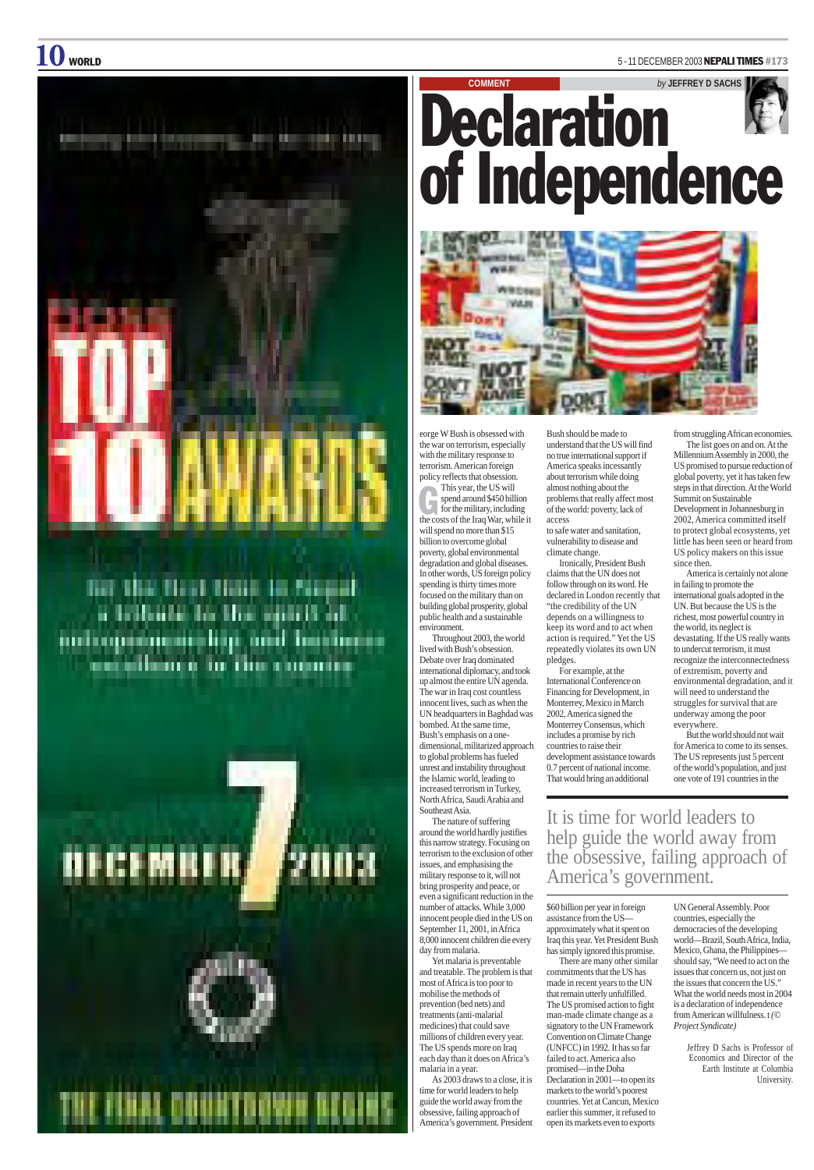### $10$  world  $^{-5}$  - 11 December 2003 Nepali times #173



<u>ivo postupno</u> Ħ lin 1 inin rusi



This year, the US will<br>spend around \$450 billion<br>for the military, including<br>the costs of the Iraq War, while it will spend no more than \$15 billion to overcome global poverty, global environmental degradation and global diseases. In other words, US foreign policy spending is thirty times more focused on the military than on building global prosperity, global public health and a sustainable environment.

Throughout 2003, the world lived with Bush's obsession. Debate over Iraq dominated international diplomacy, and took up almost the entire UN agenda. The war in Iraq cost countless innocent lives, such as when the UN headquarters in Baghdad was bombed. At the same time, Bush's emphasis on a onedimensional, militarized approach to global problems has fueled unrest and instability throughout the Islamic world, leading to increased terrorism in Turkey, North Africa, Saudi Arabia and

Southeast Asia.

The nature of suffering around the world hardly justifies this narrow strategy. Focusing on terrorism to the exclusion of other issues, and emphasising the military response to it, will not bring prosperity and peace, or even a significant reduction in the number of attacks. While 3,000 innocent people died in the US on September 11, 2001, in Africa 8,000 innocent children die every day from malaria.

Yet malaria is preventable and treatable. The problem is that most of Africa is too poor to mobilise the methods of prevention (bed nets) and treatments (anti-malarial medicines) that could save millions of children every year. The US spends more on Iraq each day than it does on Africa's malaria in a year.

As 2003 draws to a close, it is time for world leaders to help guide the world away from the obsessive, failing approach of America's government. President

Bush should be made to understand that the US will find no true international support if America speaks incessantly about terrorism while doing almost nothing about the problems that really affect most of the world: poverty, lack of access

to safe water and sanitation, vulnerability to disease and climate change.

Ironically, President Bush claims that the UN does not follow through on its word. He declared in London recently that "the credibility of the UN depends on a willingness to keep its word and to act when action is required." Yet the US repeatedly violates its own UN pledges.

For example, at the International Conference on Financing for Development, in Monterrey, Mexico in March 2002, America signed the Monterrey Consensus, which includes a promise by rich countries to raise their development assistance towards 0.7 percent of national income. That would bring an additional

\$60 billion per year in foreign assistance from the US approximately what it spent on Iraq this year. Yet President Bush has simply ignored this promise.

There are many other similar commitments that the US has made in recent years to the UN that remain utterly unfulfilled. The US promised action to fight man-made climate change as a signatory to the UN Framework Convention on Climate Change (UNFCC) in 1992. It has so far failed to act. America also promised—in the Doha Declaration in 2001—to open its markets to the world's poorest countries. Yet at Cancun, Mexico earlier this summer, it refused to open its markets even to exports

**COMMENT** *by* **JEFFREY D SACHS** Declaration of Independence



from struggling African economies.

The list goes on and on. At the Millennium Assembly in 2000, the US promised to pursue reduction of global poverty, yet it has taken few steps in that direction. At the World Summit on Sustainable Development in Johannesburg in 2002, America committed itself to protect global ecosystems, yet little has been seen or heard from US policy makers on this issue since then.

America is certainly not alone in failing to promote the international goals adopted in the UN. But because the US is the richest, most powerful country in the world, its neglect is devastating. If the US really wants to undercut terrorism, it must recognize the interconnectedness of extremism, poverty and environmental degradation, and it will need to understand the struggles for survival that are underway among the poor everywhere.

But the world should not wait for America to come to its senses. The US represents just 5 percent of the world's population, and just one vote of 191 countries in the

UN General Assembly. Poor countries, especially the democracies of the developing world—Brazil, South Africa, India, Mexico, Ghana, the Philippines should say, "We need to act on the issues that concern us, not just on the issues that concern the US." What the world needs most in 2004 is a declaration of independence from American willfulness. t *(© Project Syndicate)*

> Jeffrey D Sachs is Professor of Economics and Director of the Earth Institute at Columbia University.

It is time for world leaders to help guide the world away from the obsessive, failing approach of America's government.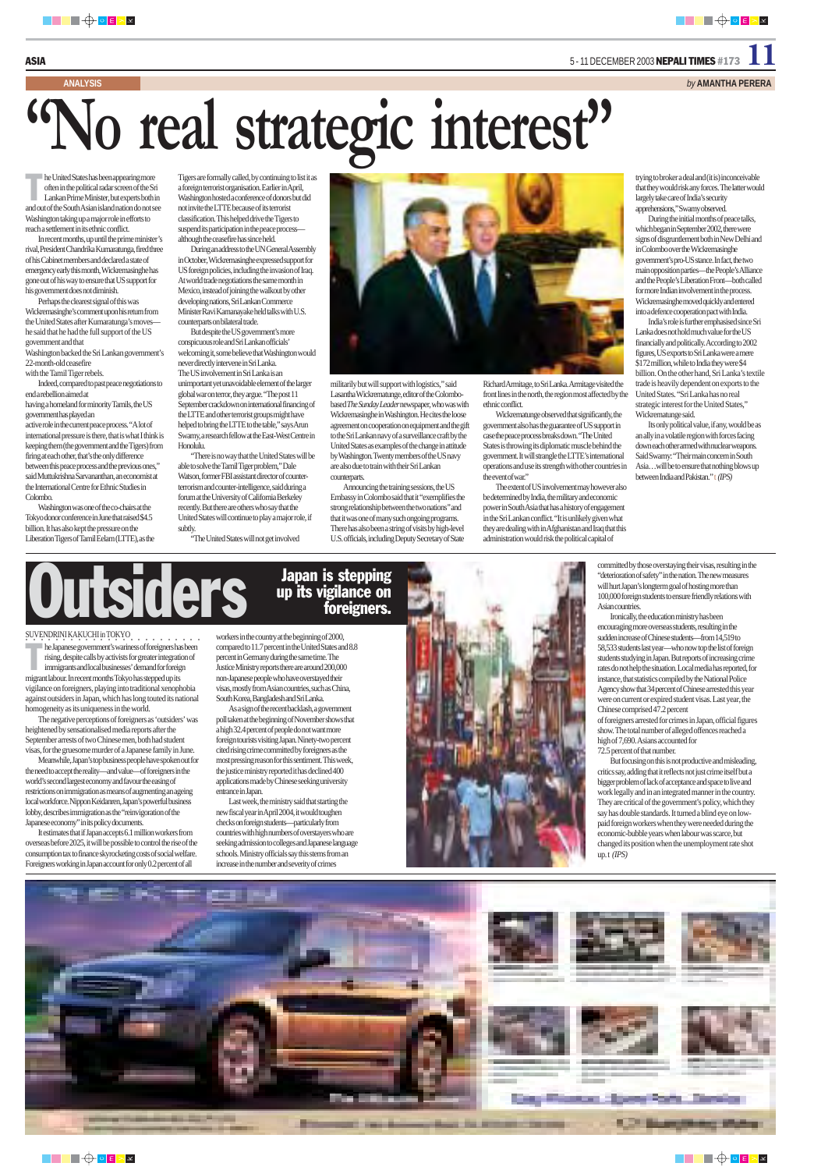he United States has been appearing more<br>often in the political radar screen of the St<br>Lankan Prime Minister, but experts both often in the political radar screen of the Sri Lankan Prime Minister, but experts both in and out of the South Asian island nation do not see Washington taking up a major role in efforts to reach a settlement in its ethnic conflict.

In recent months, up until the prime minister's rival, President Chandrika Kumaratunga, fired three of his Cabinet members and declared a state of emergency early this month, Wickremasinghe has gone out of his way to ensure that US support for his government does not diminish.

Perhaps the clearest signal of this was Wickremasinghe's comment upon his return from the United States after Kumaratunga's moves he said that he had the full support of the US government and that

Washington backed the Sri Lankan government's 22-month-old ceasefire

with the Tamil Tiger rebels. Indeed, compared to past peace negotiations to end a rebellion aimed at

having a homeland for minority Tamils, the US government has played an active role in the current peace process. "A lot of international pressure is there, that is what I think is

keeping them (the government and the Tigers) from firing at each other, that's the only difference between this peace process and the previous ones," said Muttukrishna Sarvananthan, an economist at the International Centre for Ethnic Studies in Colombo.

Washington was one of the co-chairs at the Tokyo donor conference in June that raised \$4.5 billion. It has also kept the pressure on the Liberation Tigers of Tamil Eelam (LTTE), as the

## **"No real strategic interest"**

Tigers are formally called, by continuing to list it as a foreign terrorist organisation. Earlier in April, Washington hosted a conference of donors but did not invite the LTTE because of its terrorist classification. This helped drive the Tigers to suspend its participation in the peace process although the ceasefire has since held.

> Wickrematunge observed that significantly, the government also has the guarantee of US support in case the peace process breaks down. "The United States is throwing its diplomatic muscle behind the government. It will strangle the LTTE's international operations and use its strength with other countries in the event of war."

During an address to the UN General Assembly in October, Wickremasinghe expressed support for US foreign policies, including the invasion of Iraq. At world trade negotiations the same month in Mexico, instead of joining the walkout by other developing nations, Sri Lankan Commerce Minister Ravi Karnanayake held talks with U.S. counterparts on bilateral trade.

But despite the US government's more conspicuous role and Sri Lankan officials' welcoming it, some believe that Washington would never directly intervene in Sri Lanka. The US involvement in Sri Lanka is an unimportant yet unavoidable element of the larger global war on terror, they argue. "The post 11 September crackdown on international financing of the LTTE and other terrorist groups might have helped to bring the LTTE to the table," says Arun Swamy, a research fellow at the East-West Centre in Honolulu.

"There is no way that the United States will be able to solve the Tamil Tiger problem," Dale Watson, former FBI assistant director of counterterrorism and counter-intelligence, said during a forum at the University of California Berkeley recently. But there are others who say that the United States will continue to play a major role, if subtly.

"The United States will not get involved



militarily but will support with logistics," said Lasantha Wickrematunge, editor of the Colombobased *The Sunday Leader* newspaper, who was with Wickremasinghe in Washington. He cites the loose agreement on cooperation on equipment and the gift to the Sri Lankan navy of a surveillance craft by the United States as examples of the change in attitude by Washington. Twenty members of the US navy are also due to train with their Sri Lankan counterparts.

Announcing the training sessions, the US Embassy in Colombo said that it "exemplifies the strong relationship between the two nations'' and that it was one of many such ongoing programs. There has also been a string of visits by high-level U.S. officials, including Deputy Secretary of State

Richard Armitage, to Sri Lanka. Armitage visited the front lines in the north, the region most affected by the ethnic conflict.

The extent of US involvement may however also be determined by India, the military and economic power in South Asia that has a history of engagement in the Sri Lankan conflict. "It is unlikely given what they are dealing with in Afghanistan and Iraq that this administration would risk the political capital of

trying to broker a deal and (it is) inconceivable that they would risk any forces. The latter would largely take care of India's security apprehensions," Swamy observed.

UUtsiders Japan is stepping<br>up its vigilance on foreigners.

During the initial months of peace talks, which began in September 2002, there were signs of disgruntlement both in New Delhi and in Colombo over the Wickremasinghe government's pro-US stance. In fact, the two main opposition parties—the People's Alliance and the People's Liberation Front—both called for more Indian involvement in the process. Wickremasinghe moved quickly and entered into a defence cooperation pact with India.

India's role is further emphasised since Sri Lanka does not hold much value for the US financially and politically. According to 2002 figures, US exports to Sri Lanka were a mere \$172 million, while to India they were \$4 billion. On the other hand, Sri Lanka's textile trade is heavily dependent on exports to the United States. "Sri Lanka has no real strategic interest for the United States," Wickrematunge said.

Its only political value, if any, would be as an ally in a volatile region with forces facing down each other armed with nuclear weapons. Said Swamy: "Their main concern in South Asia…will be to ensure that nothing blows up between India and Pakistan.'' t *(IPS)*

#### ○○○○○○○○○○○○○○○○○○○ ○○○○○ SUVENDRINI KAKUCHI in TOKYO

immigrants and local businesses' demand for foreign migrant labour. In recent months Tokyo has stepped up its vigilance on foreigners, playing into traditional xenophobia against outsiders in Japan, which has long touted its national homogeneity as its uniqueness in the world.

The negative perceptions of foreigners as 'outsiders' was heightened by sensationalised media reports after the September arrests of two Chinese men, both had student visas, for the gruesome murder of a Japanese family in June.

Meanwhile, Japan's top business people have spoken out for the need to accept the reality—and value—of foreigners in the world's second largest economy and favour the easing of restrictions on immigration as means of augmenting an ageing local workforce. Nippon Keidanren, Japan's powerful business

lobby, describes immigration as the "reinvigoration of the Japanese economy" in its policy documents.

It estimates that if Japan accepts 6.1 million workers from overseas before 2025, it will be possible to control the rise of the consumption tax to finance skyrocketing costs of social welfare. Foreigners working in Japan account for only 0.2 percent of all

workers in the country at the beginning of 2000, compared to 11.7 percent in the United States and 8.8 percent in Germany during the same time. The Justice Ministry reports there are around 200,000 non-Japanese people who have overstayed their visas, mostly from Asian countries, such as China, South Korea, Bangladesh and Sri Lanka.

As a sign of the recent backlash, a government poll taken at the beginning of November shows that a high 32.4 percent of people do not want more foreign tourists visiting Japan. Ninety-two percent cited rising crime committed by foreigners as the most pressing reason for this sentiment. This week, the justice ministry reported it has declined 400 applications made by Chinese seeking university entrance in Japan.

he Japanese government's wariness of foreigners has been rising, despite calls by activists for greater integration of T

Last week, the ministry said that starting the



new fiscal year in April 2004, it would toughen checks on foreign students—particularly from countries with high numbers of overstayers who are seeking admission to colleges and Japanese language schools. Ministry officials say this stems from an increase in the number and severity of crimes









committed by those overstaying their visas, resulting in the "deterioration of safety" in the nation. The new measures will hurt Japan's longterm goal of hosting more than 100,000 foreign students to ensure friendly relations with Asian countries.

Ironically, the education ministry has been encouraging more overseas students, resulting in the sudden increase of Chinese students—from 14,519 to 58,533 students last year—who now top the list of foreign students studying in Japan. But reports of increasing crime rates do not help the situation. Local media has reported, for instance, that statistics compiled by the National Police Agency show that 34 percent of Chinese arrested this year were on current or expired student visas. Last year, the Chinese comprised 47.2 percent

of foreigners arrested for crimes in Japan, official figures show. The total number of alleged offences reached a high of 7,690. Asians accounted for 72.5 percent of that number.

But focusing on this is not productive and misleading, critics say, adding that it reflects not just crime itself but a bigger problem of lack of acceptance and space to live and work legally and in an integrated manner in the country. They are critical of the government's policy, which they say has double standards. It turned a blind eye on lowpaid foreign workers when they were needed during the economic-bubble years when labour was scarce, but changed its position when the unemployment rate shot up. t *(IPS)*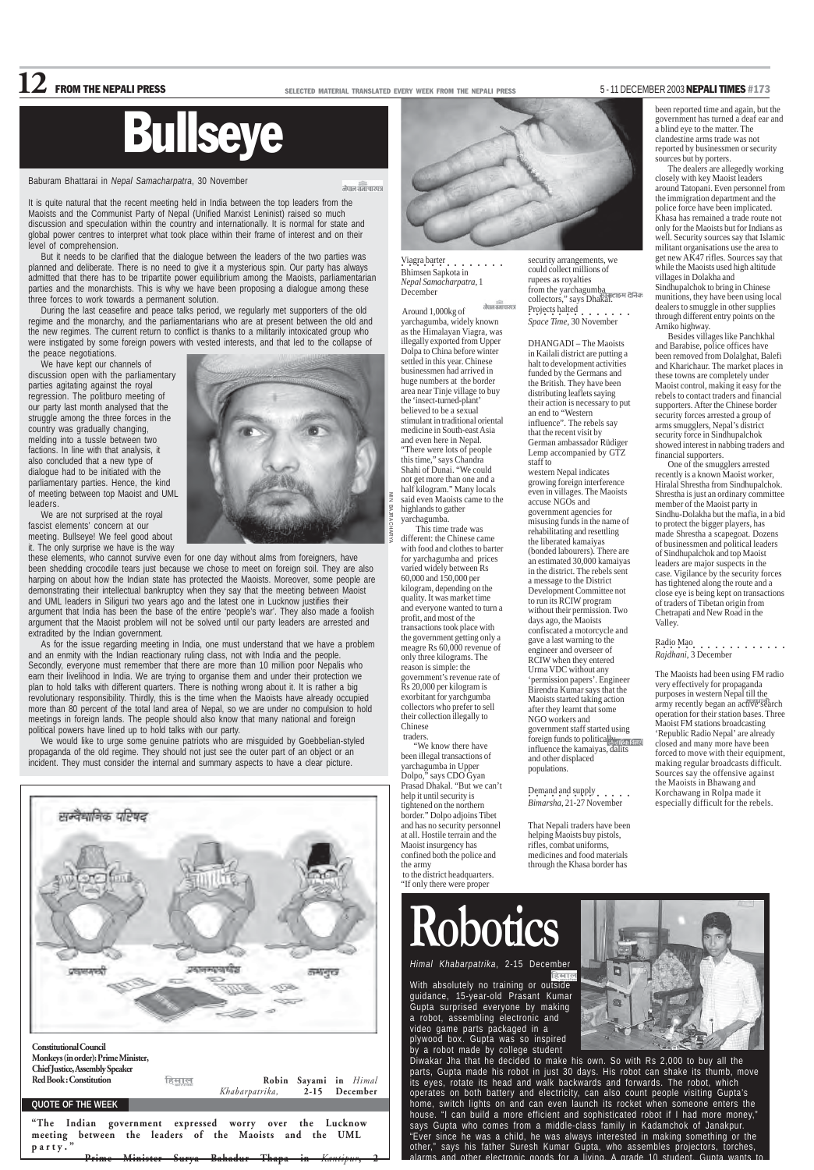



Viagra barter<br> **•••••••••••••••** Bhimsen Sapkota in *Nepal Samacharpatra*, 1 December

.<br>नेपाल समाचारपत्र Around 1,000kg of yarchagumba, widely known as the Himalayan Viagra, was illegally exported from Upper Dolpa to China before winter settled in this year. Chinese businessmen had arrived in huge numbers at the border area near Tinje village to buy the 'insect-turned-plant' believed to be a sexual stimulant in traditional oriental medicine in South-east Asia and even here in Nepal. "There were lots of people this time," says Chandra Shahi of Dunai. "We could not get more than one and a half kilogram." Many locals said even Maoists came to the highlands to gather yarchagumba.

 This time trade was different: the Chinese came with food and clothes to barter for yarchagumba and prices varied widely between Rs 60,000 and 150,000 per kilogram, depending on the quality. It was market time and everyone wanted to turn a profit, and most of the transactions took place with the government getting only a meagre Rs 60,000 revenue of only three kilograms. The reason is simple: the government's revenue rate of Rs 20,000 per kilogram is exorbitant for yarchgumba collectors who prefer to sell their collection illegally to Chinese traders.

"We know there have been illegal transactions of yarchagumba in Upper Dolpo," says CDO Gyan Prasad Dhakal. "But we can't help it until security is tightened on the norther border." Dolpo adjoins Tibet and has no security personnel at all. Hostile terrain and the Maoist insurgency has confined both the police and the army to the district headquarters. "If only there were proper

Baburam Bhattarai in *Nepal Samacharpatra*, 30 November

नेपाल समाचारपत्र

It is quite natural that the recent meeting held in India between the top leaders from the Maoists and the Communist Party of Nepal (Unified Marxist Leninist) raised so much discussion and speculation within the country and internationally. It is normal for state and global power centres to interpret what took place within their frame of interest and on their level of comprehension.

But it needs to be clarified that the dialogue between the leaders of the two parties was planned and deliberate. There is no need to give it a mysterious spin. Our party has always admitted that there has to be tripartite power equilibrium among the Maoists, parliamentarian parties and the monarchists. This is why we have been proposing a dialogue among these three forces to work towards a permanent solution.

During the last ceasefire and peace talks period, we regularly met supporters of the old regime and the monarchy, and the parliamentarians who are at present between the old and the new regimes. The current return to conflict is thanks to a militarily intoxicated group who were instigated by some foreign powers with vested interests, and that led to the collapse of the peace negotiations.

We have kept our channels of discussion open with the parliamentary parties agitating against the royal regression. The politburo meeting of our party last month analysed that the struggle among the three forces in the country was gradually changing, melding into a tussle between two factions. In line with that analysis, it also concluded that a new type of dialogue had to be initiated with the parliamentary parties. Hence, the kind of meeting between top Maoist and UML leaders.

> $Demand and supply \ldots$ *Bimarsha*, 21-27 November

been reported time and again, but the government has turned a deaf ear and a blind eye to the matter. The clandestine arms trade was not reported by businessmen or security sources but by porters.

We are not surprised at the royal fascist elements' concern at our meeting. Bullseye! We feel good about it. The only surprise we have is the way



these elements, who cannot survive even for one day without alms from foreigners, have been shedding crocodile tears just because we chose to meet on foreign soil. They are also harping on about how the Indian state has protected the Maoists. Moreover, some people are demonstrating their intellectual bankruptcy when they say that the meeting between Maoist and UML leaders in Siliguri two years ago and the latest one in Lucknow justifies their argument that India has been the base of the entire 'people's war'. They also made a foolish argument that the Maoist problem will not be solved until our party leaders are arrested and extradited by the Indian government.

> *Himal Khabarpatrika*, 2-15 December हिमार

> With absolutely no training or outside guidance, 15-year-old Prasant Kumar Gupta surprised everyone by making a robot, assembling electronic and video game parts packaged in a plywood box. Gupta was so inspired by a robot made by college student



Diwakar Jha that he decided to make his own. So with Rs 2,000 to buy all the parts, Gupta made his robot in just 30 days. His robot can shake its thumb, move its eyes, rotate its head and walk backwards and forwards. The robot, which operates on both battery and electricity, can also count people visiting Gupta's home, switch lights on and can even launch its rocket when someone enters the house. "I can build a more efficient and sophisticated robot if I had more money," says Gupta who comes from a middle-class family in Kadamchok of Janakpur. "Ever since he was a child, he was always interested in making something or the other," says his father Suresh Kumar Gupta, who assembles projectors, torches, alarms and other electronic goods for a living. A grade 10 student, Gupta wants to

As for the issue regarding meeting in India, one must understand that we have a problem and an enmity with the Indian reactionary ruling class, not with India and the people. Secondly, everyone must remember that there are more than 10 million poor Nepalis who earn their livelihood in India. We are trying to organise them and under their protection we plan to hold talks with different quarters. There is nothing wrong about it. It is rather a big revolutionary responsibility. Thirdly, this is the time when the Maoists have already occupied more than 80 percent of the total land area of Nepal, so we are under no compulsion to hold meetings in foreign lands. The people should also know that many national and foreign political powers have lined up to hold talks with our party.

"The Indian government expressed worry over the Lucknow meeting between the leaders of the Maoists and the UML party.'

We would like to urge some genuine patriots who are misguided by Goebbelian-styled propaganda of the old regime. They should not just see the outer part of an object or an incident. They must consider the internal and summary aspects to have a clear picture.

### **12** FROM THE NEPALI PRESS SELECTED MATERIAL TRANSLATED EVERY WEEK FROM THE NEPALI PRESS 5-11 DECEMBER 2003 NEPALI TIMES #173

## Bullseye

security arrangements, we could collect millions of rupees as royalties from the yarchagumba collectors," says Dhakal. Projects halted<br>• *Space Time*, 30 November

DHANGADI – The Maoists in Kailali district are putting a halt to development activities funded by the Germans and the British. They have been distributing leaflets saying their action is necessary to put

an end to "Western influence". The rebels say that the recent visit by German ambassador Rüdiger Lemp accompanied by GTZ

staff to

western Nepal indicates growing foreign interference even in villages. The Maoists

accuse NGOs and government agencies for misusing funds in the name of rehabilitating and resettling the liberated kamaiyas (bonded labourers). There are an estimated 30,000 kamaiyas in the district. The rebels sent a message to the District Development Committee not to run its RCIW program without their permission. Two days ago, the Maoists confiscated a motorcycle and gave a last warning to the engineer and overseer of RCIW when they entered Urma VDC without any 'permission papers'. Engineer Birendra Kumar says that the Maoists started taking action after they learnt that some NGO workers and

government staff started using foreign funds to politically discontinuity influence the kamaiyas, dalits

and other displaced populations.

That Nepali traders have been helping Maoists buy pistols, rifles, combat uniforms, medicines and food materials through the Khasa border has

The dealers are allegedly working closely with key Maoist leaders around Tatopani. Even personnel from the immigration department and the police force have been implicated. Khasa has remained a trade route not only for the Maoists but for Indians as well. Security sources say that Islamic militant organisations use the area to get new AK47 rifles. Sources say that while the Maoists used high altitude villages in Dolakha and Sindhupalchok to bring in Chinese munitions, they have been using local dealers to smuggle in other supplies through different entry points on the Arniko highway.

Besides villages like Panchkhal and Barabise, police offices have been removed from Dolalghat, Balefi and Kharichaur. The market places in these towns are completely under Maoist control, making it easy for the rebels to contact traders and financial supporters. After the Chinese border security forces arrested a group of arms smugglers, Nepal's district security force in Sindhupalchok showed interest in nabbing traders and financial supporters.

One of the smugglers arrested recently is a known Maoist worker, Hiralal Shrestha from Sindhupalchok. Shrestha is just an ordinary committee member of the Maoist party in Sindhu-Dolakha but the mafia, in a bid to protect the bigger players, has made Shrestha a scapegoat. Dozens of businessmen and political leaders of Sindhupalchok and top Maoist leaders are major suspects in the case. Vigilance by the security forces has tightened along the route and a close eye is being kept on transactions of traders of Tibetan origin from Chetrapati and New Road in the Valley.

Radio Mao ○○○○○○○○○○○○○○○○○○ *Rajdhani*, 3 December

The Maoists had been using FM radio very effectively for propaganda purposes in western Nepal till the army recently began an active search operation for their station bases. Three Maoist FM stations broadcasting 'Republic Radio Nepal' are already closed and many more have been forced to move with their equipment, making regular broadcasts difficult. Sources say the offensive against the Maoists in Bhawang and Korchawang in Rolpa made it especially difficult for the rebels.

## **Robotics**

– Prime Minister Surya Bahadur Thapa in *Kantipur*, 2

MIN BAJRACHARYA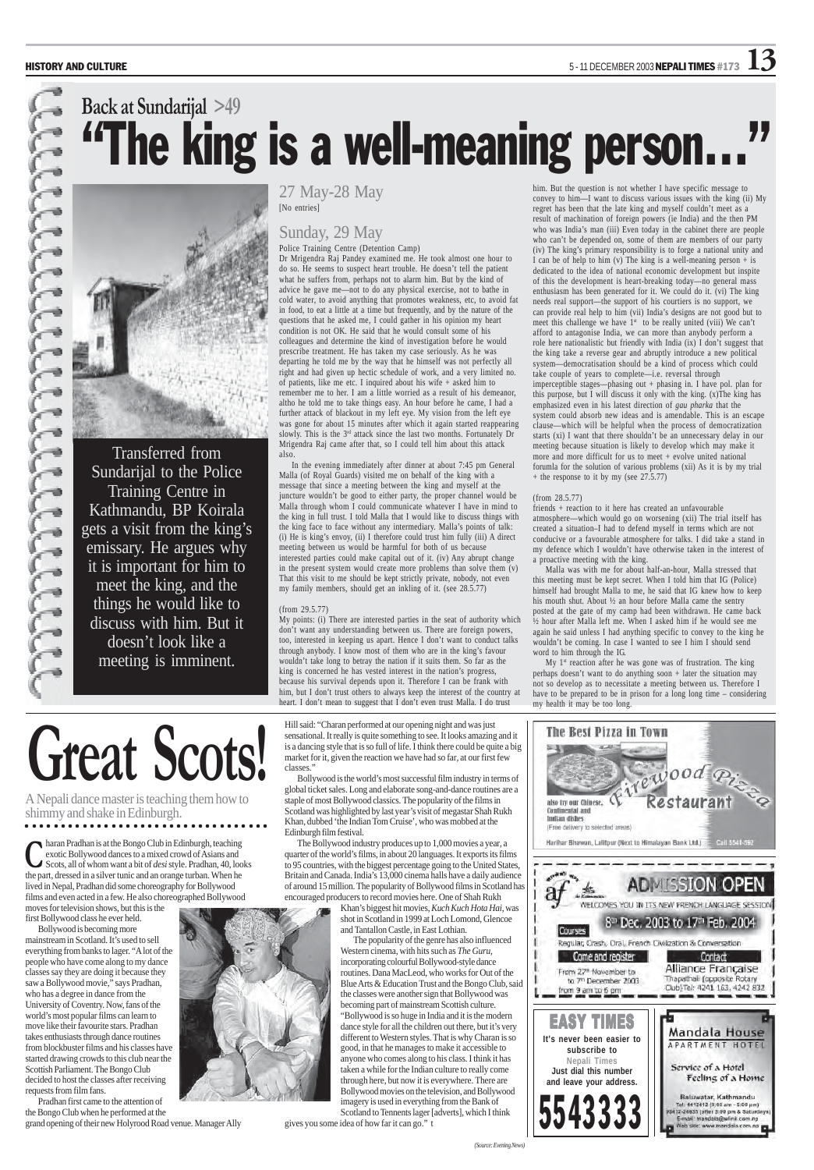

27 May-28 May [No entries]

#### Sunday, 29 May

Police Training Centre (Detention Camp)

Dr Mrigendra Raj Pandey examined me. He took almost one hour to do so. He seems to suspect heart trouble. He doesn't tell the patient what he suffers from, perhaps not to alarm him. But by the kind of advice he gave me—not to do any physical exercise, not to bathe in cold water, to avoid anything that promotes weakness, etc, to avoid fat in food, to eat a little at a time but frequently, and by the nature of the questions that he asked me, I could gather in his opinion my heart condition is not OK. He said that he would consult some of his colleagues and determine the kind of investigation before he would prescribe treatment. He has taken my case seriously. As he was departing he told me by the way that he himself was not perfectly all right and had given up hectic schedule of work, and a very limited no. of patients, like me etc. I inquired about his wife + asked him to remember me to her. I am a little worried as a result of his demeanor, altho he told me to take things easy. An hour before he came, I had a further attack of blackout in my left eye. My vision from the left eye was gone for about 15 minutes after which it again started reappearing slowly. This is the 3<sup>rd</sup> attack since the last two months. Fortunately Dr Mrigendra Raj came after that, so I could tell him about this attack also.

In the evening immediately after dinner at about 7:45 pm General Malla (of Royal Guards) visited me on behalf of the king with a message that since a meeting between the king and myself at the juncture wouldn't be good to either party, the proper channel would be Malla through whom I could communicate whatever I have in mind to the king in full trust. I told Malla that I would like to discuss things with the king face to face without any intermediary. Malla's points of talk: (i) He is king's envoy, (ii) I therefore could trust him fully (iii) A direct meeting between us would be harmful for both of us because interested parties could make capital out of it. (iv) Any abrupt change in the present system would create more problems than solve them (v) That this visit to me should be kept strictly private, nobody, not even my family members, should get an inkling of it. (see 28.5.77)

#### (from 29.5.77)

My points: (i) There are interested parties in the seat of authority which don't want any understanding between us. There are foreign powers, too, interested in keeping us apart. Hence I don't want to conduct talks through anybody. I know most of them who are in the king's favour wouldn't take long to betray the nation if it suits them. So far as the king is concerned he has vested interest in the nation's progress, because his survival depends upon it. Therefore I can be frank with him, but I don't trust others to always keep the interest of the country at heart. I don't mean to suggest that I don't even trust Malla. I do trust

## **Back at Sundarijal >49** "The king is a well-meaning person…"



My 1<sup>st</sup> reaction after he was gone was of frustration. The king perhaps doesn't want to do anything soon + later the situation may not so develop as to necessitate a meeting between us. Therefore I have to be prepared to be in prison for a long long time – considering my health it may be too long.



him. But the question is not whether I have specific message to convey to him—I want to discuss various issues with the king (ii) My regret has been that the late king and myself couldn't meet as a result of machination of foreign powers (ie India) and the then PM who was India's man (iii) Even today in the cabinet there are people who can't be depended on, some of them are members of our party (iv) The king's primary responsibility is to forge a national unity and I can be of help to him (v) The king is a well-meaning person  $+$  is dedicated to the idea of national economic development but inspite of this the development is heart-breaking today—no general mass enthusiasm has been generated for it. We could do it. (vi) The king needs real support—the support of his courtiers is no support, we can provide real help to him (vii) India's designs are not good but to meet this challenge we have  $1<sup>st</sup>$  to be really united (viii) We can't afford to antagonise India, we can more than anybody perform a role here nationalistic but friendly with India (ix) I don't suggest that the king take a reverse gear and abruptly introduce a new political system—democratisation should be a kind of process which could take couple of years to complete—i.e. reversal through imperceptible stages—phasing out + phasing in. I have pol. plan for this purpose, but I will discuss it only with the king. (x)The king has emphasized even in his latest direction of *gau pharka* that the system could absorb new ideas and is amendable. This is an escape clause—which will be helpful when the process of democratization starts (xi) I want that there shouldn't be an unnecessary delay in our meeting because situation is likely to develop which may make it more and more difficult for us to meet + evolve united national forumla for the solution of various problems (xii) As it is by my trial + the response to it by my (see 27.5.77)

#### (from 28.5.77)

friends + reaction to it here has created an unfavourable atmosphere—which would go on worsening (xii) The trial itself has created a situation–I had to defend myself in terms which are not conducive or a favourable atmosphere for talks. I did take a stand in my defence which I wouldn't have otherwise taken in the interest of a proactive meeting with the king.

Malla was with me for about half-an-hour, Malla stressed that this meeting must be kept secret. When I told him that IG (Police) himself had brought Malla to me, he said that IG knew how to keep his mouth shut. About ½ an hour before Malla came the sentry posted at the gate of my camp had been withdrawn. He came back ½ hour after Malla left me. When I asked him if he would see me again he said unless I had anything specific to convey to the king he wouldn't be coming. In case I wanted to see I him I should send word to him through the IG.

haran Pradhan is at the Bongo Club in Edinburgh, teaching exotic Bollywood dances to a mixed crowd of Asians and **C** exotic Bollywood dances to a mixed crowd of Asians and<br>Scots, all of whom want a bit of *desi* style. Pradhan, 40, looks the part, dressed in a silver tunic and an orange turban. When he lived in Nepal, Pradhan did some choreography for Bollywood films and even acted in a few. He also choreographed Bollywood

moves for television shows, but this is the first Bollywood class he ever held.

Bollywood is becoming more mainstream in Scotland. It's used to sell everything from banks to lager. "A lot of the people who have come along to my dance classes say they are doing it because they saw a Bollywood movie," says Pradhan, who has a degree in dance from the University of Coventry. Now, fans of the world's most popular films can learn to move like their favourite stars. Pradhan takes enthusiasts through dance routines from blockbuster films and his classes have started drawing crowds to this club near the Scottish Parliament. The Bongo Club decided to host the classes after receiving requests from film fans.

Pradhan first came to the attention of the Bongo Club when he performed at the grand opening of their new Holyrood Road venue. Manager Ally

Hill said: "Charan performed at our opening night and was just sensational. It really is quite something to see. It looks amazing and it is a dancing style that is so full of life. I think there could be quite a big market for it, given the reaction we have had so far, at our first few classes."

Bollywood is the world's most successful film industry in terms of global ticket sales. Long and elaborate song-and-dance routines are a staple of most Bollywood classics. The popularity of the films in Scotland was highlighted by last year's visit of megastar Shah Rukh Khan, dubbed 'the Indian Tom Cruise', who was mobbed at the Edinburgh film festival. The Bollywood industry produces up to 1,000 movies a year, a quarter of the world's films, in about 20 languages. It exports its films to 95 countries, with the biggest percentage going to the United State Britain and Canada. India's 13,000 cinema halls have a daily audience of around 15 million. The popularity of Bollywood films in Scotland encouraged producers to record movies here. One of Shah Rukh Khan's biggest hit movies, *Kuch Kuch Hota Hai*, was shot in Scotland in 1999 at Loch Lomond, Glencoe and Tantallon Castle, in East Lothian. The popularity of the genre has also influenced Western cinema, with hits such as *The Guru,* incorporating colourful Bollywood-style dance routines. Dana MacLeod, who works for Out of the Blue Arts & Education Trust and the Bongo Club, say the classes were another sign that Bollywood was becoming part of mainstream Scottish culture. "Bollywood is so huge in India and it is the modern dance style for all the children out there, but it's very different to Western styles. That is why Charan is so good, in that he manages to make it accessible to anyone who comes along to his class. I think it has taken a while for the Indian culture to really come through here, but now it is everywhere. There are Bollywood movies on the television, and Bollywood imagery is used in everything from the Bank of Scotland to Tennents lager [adverts], which I think gives you some idea of how far it can go." t

## **Great Scots!**

A Nepali dance master is teaching them how to

#### shimmy and shake in Edinburgh.

○○○○○○○ ○○○○○○○○○○○○○○○○○○○○○○○○○○○

| Indian dishes<br>(Free delivery to selected areas)<br>Harihar Bhawan, Lalitpur (Next to Himalayan Bank Ltd.)                  | Call 5541-592                                                                                                                                                       |
|-------------------------------------------------------------------------------------------------------------------------------|---------------------------------------------------------------------------------------------------------------------------------------------------------------------|
|                                                                                                                               | <b>ADMISSION OPEN</b><br>WELCOMES YOU IN ITS NEW FRENCH LANGUAGE SESSION                                                                                            |
| Courses<br>Regular, Crash, Oral, French Civilization & Conversation<br>Come and register<br>From 27 <sup>th</sup> November to | 8 <sup>th</sup> Dec. 2003 to 17th Feb. 2004<br>Contact<br>Alliance Française                                                                                        |
| to 7th December 2003<br>from 9 am to 6 pm<br><b>EASY TIMES</b>                                                                | Thapathali (opposite Rotary<br>Club) Tel: 4241 163, 4242 832                                                                                                        |
| It's never been easier to<br>subscribe to<br><b>Nepali Times</b><br>Just dial this number<br>and leave your address.          | <b>Mandala House</b><br>APARTMENT HOTEL<br>Service of a Hotel<br>Feeling of a Home                                                                                  |
| 5543333                                                                                                                       | Baluwatar, Kathmandu<br>Tel: 4412412 (9:00 am - 5:00 pm)<br>98412-24635 (after 5:00 pm & Saturdays)<br>E-mail: mandala@wlink.com.np<br>Web site: www.mandala.com.np |



Transferred from Sundarijal to the Police Training Centre in Kathmandu, BP Koirala gets a visit from the king's emissary. He argues why it is important for him to meet the king, and the things he would like to discuss with him. But it doesn't look like a meeting is imminent.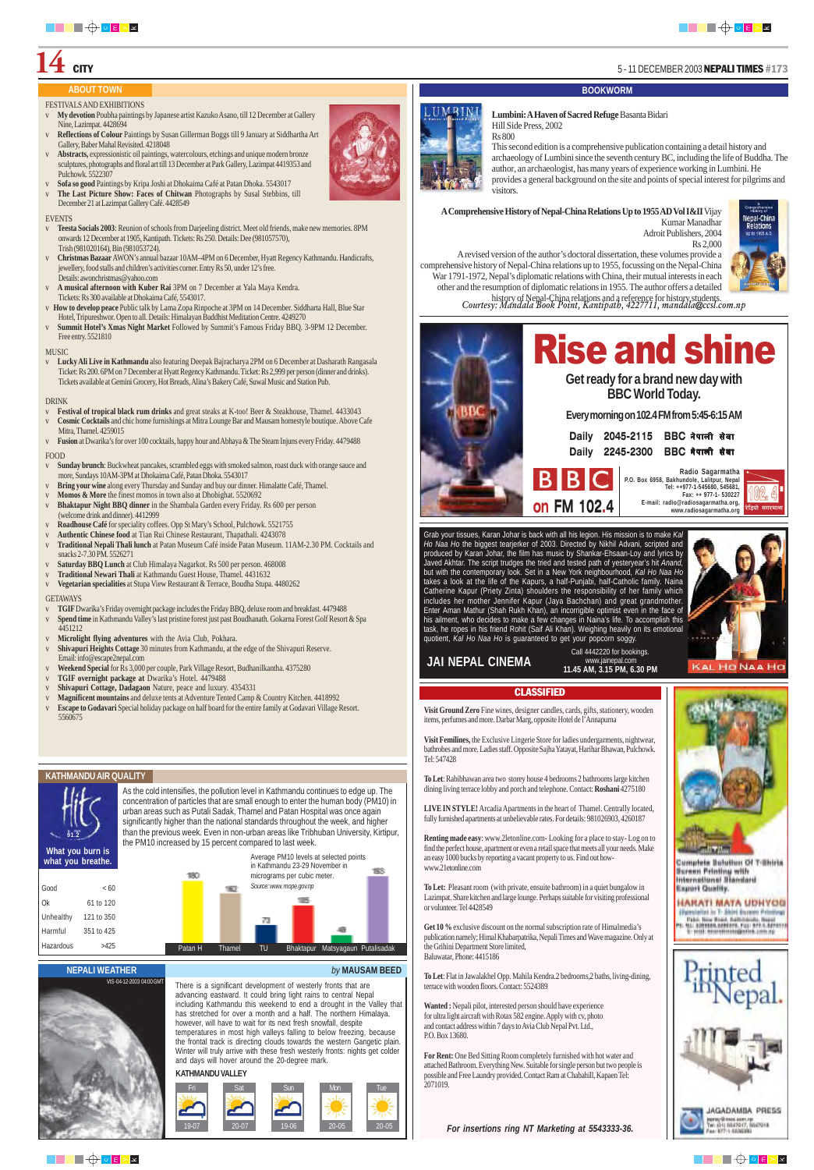

## $\mathbf{14}\text{ }\overline{\text{c}}$   $\text{CITY}$   $\text{5 - 11 DECEMBER 2003 NEPALI TIMES #173}$

*For insertions ring NT Marketing at 5543333-36.*



Complete Subditon Of T-Shirts **Burnen Frinting with** International Biandard **Bourert Quality.** 

HARATI MATA UDHYOG (Specialist in T. John Gureau Frinting) Pr. Pako Bara Boart, Salticianum, Daniel<br>Pr. Pr. Saltisanu, Azarbert, Pak 972-1, Saltinop<br>Roman Barantheringheten, Long of







#### **KATHMANDU VALLEY**

There is a significant development of westerly fronts that are advancing eastward. It could bring light rains to central Nepal including Kathmandu this weekend to end a drought in the Valley that has stretched for over a month and a half. The northern Himalaya, however, will have to wait for its next fresh snowfall, despite temperatures in most high valleys falling to below freezing, because the frontal track is directing clouds towards the western Gangetic plain. Winter will truly arrive with these fresh westerly fronts: nights get colder and days will hover around the 20-degree mark.

FESTIVALS AND EXHIBITIONS

- v **My devotion** Poubha paintings by Japanese artist Kazuko Asano, till 12 December at Gallery Nine, Lazimpat. 4428694
- v **Reflections of Colour** Paintings by Susan Gillerman Boggs till 9 January at Siddhartha Art Gallery, Baber Mahal Revisited. 4218048
- v **Abstracts,** expressionistic oil paintings, watercolours, etchings and unique modern bronze sculptures, photographs and floral art till 13 December at Park Gallery, Lazimpat 4419353 and Pulchowk. 5522307
- v **Sofa so good** Paintings by Kripa Joshi at Dhokaima Café at Patan Dhoka. 5543017
- v **The Last Picture Show: Faces of Chitwan** Photographs by Susal Stebbins, till December 21 at Lazimpat Gallery Café. 4428549

#### **EVENTS**

- v **Teesta Socials 2003**: Reunion of schools from Darjeeling district. Meet old friends, make new memories. 8PM onwards 12 December at 1905, Kantipath. Tickets: Rs 250. Details: Dee (981057570), Trish (981020164), Bin (981053724).
- v **Christmas Bazaar** AWON's annual bazaar 10AM–4PM on 6 December, Hyatt Regency Kathmandu. Handicrafts, jewellery, food stalls and children's activities corner. Entry Rs 50, under 12's free. Details: awonchristmas@yahoo.com
- v **A musical afternoon with Kuber Rai** 3PM on 7 December at Yala Maya Kendra. Tickets: Rs 300 available at Dhokaima Café, 5543017.
- v **How to develop peace** Public talk by Lama Zopa Rinpoche at 3PM on 14 December. Siddharta Hall, Blue Star Hotel, Tripureshwor. Open to all. Details: Himalayan Buddhist Meditation Centre. 4249270
- v **Summit Hotel's Xmas Night Market** Followed by Summit's Famous Friday BBQ. 3-9PM 12 December. Free entry. 5521810

#### MUSIC

v **Lucky Ali Live in Kathmandu** also featuring Deepak Bajracharya 2PM on 6 December at Dasharath Rangasala Ticket: Rs 200. 6PM on 7 December at Hyatt Regency Kathmandu. Ticket: Rs 2,999 per person (dinner and drinks). Tickets available at Gemini Grocery, Hot Breads, Alina's Bakery Café, Suwal Music and Station Pub.

#### DRINK

- v **Festival of tropical black rum drinks** and great steaks at K-too! Beer & Steakhouse, Thamel. 4433043
- v **Cosmic Cocktails** and chic home furnishings at Mitra Lounge Bar and Mausam homestyle boutique. Above Cafe Mitra, Thamel. 4259015
- v **Fusion** at Dwarika's for over 100 cocktails, happy hour and Abhaya & The Steam Injuns every Friday. 4479488

#### FOOD

- v **Sunday brunch**: Buckwheat pancakes, scrambled eggs with smoked salmon, roast duck with orange sauce and more, Sundays 10AM-3PM at Dhokaima Café, Patan Dhoka. 5543017
- v **Bring your wine** along every Thursday and Sunday and buy our dinner. Himalatte Café, Thamel.
- v **Momos & More** the finest momos in town also at Dhobighat. 5520692
- v **Bhaktapur Night BBQ dinner** in the Shambala Garden every Friday. Rs 600 per person (welcome drink and dinner). 4412999
- v **Roadhouse Café** for speciality coffees. Opp St Mary's School, Pulchowk. 5521755
- v **Authentic Chinese food** at Tian Rui Chinese Restaurant, Thapathali. 4243078
- v **Traditional Nepali Thali lunch** at Patan Museum Café inside Patan Museum. 11AM-2.30 PM. Cocktails and snacks 2-7.30 PM. 5526271
- v **Saturday BBQ Lunch** at Club Himalaya Nagarkot. Rs 500 per person. 468008
- v **Traditional Newari Thali** at Kathmandu Guest House, Thamel. 4431632
- v **Vegetarian specialities** at Stupa View Restaurant & Terrace, Boudha Stupa. 4480262

#### **GETAWAYS**

- v **TGIF** Dwarika's Friday overnight package includes the Friday BBQ, deluxe room and breakfast. 4479488
- v **Spend time** in Kathmandu Valley's last pristine forest just past Boudhanath. Gokarna Forest Golf Resort & Spa 4451212
- v **Microlight flying adventures** with the Avia Club, Pokhara.
- v **Shivapuri Heights Cottage** 30 minutes from Kathmandu, at the edge of the Shivapuri Reserve. Email: info@escape2nepal.com
- v **Weekend Special** for Rs 3,000 per couple, Park Village Resort, Budhanilkantha. 4375280
- v **TGIF overnight package at** Dwarika's Hotel. 4479488
- v **Shivapuri Cottage, Dadagaon** Nature, peace and luxury. 4354331
- v **Magnificent mountains** and deluxe tents at Adventure Tented Camp & Country Kitchen. 4418992
- v **Escape to Godavari** Special holiday package on half board for the entire family at Godavari Village Resort. 5560675

As the cold intensifies, the pollution level in Kathmandu continues to edge up. The concentration of particles that are small enough to enter the human body (PM10) in





urban areas such as Putali Sadak, Thamel and Patan Hospital was once again significantly higher than the national standards throughout the week, and higher than the previous week. Even in non-urban areas like Tribhuban University, Kirtipur, the PM10 increased by 15 percent compared to last week.

**what you breathe.**

| what you breathe. | <b>THE PURPLE IS</b> | 180     |        |    | in Kathmandu 23-29 November in<br>micrograms per cubic meter. | Average PM10 levels at selected points | <b>ISO</b> |
|-------------------|----------------------|---------|--------|----|---------------------------------------------------------------|----------------------------------------|------------|
| Good              | < 60                 |         | 1975   |    | Source: www. mope.gov.np                                      |                                        |            |
| Ok                | 61 to 120            |         |        |    |                                                               |                                        |            |
| Unhealthy         | 121 to 350           |         |        | 73 |                                                               |                                        |            |
| Harmful           | 351 to 425           |         |        |    |                                                               |                                        |            |
| Hazardous         | >425                 | Patan H | Thamel | TU |                                                               | Bhaktapur Matsyagaun Putalisadak       |            |



**Visit Ground Zero** Fine wines, designer candles, cards, gifts, stationery, wooden items, perfumes and more. Darbar Marg, opposite Hotel de l'Annapurna

**Visit Femilines,** the Exclusive Lingerie Store for ladies undergarments, nightwear, bathrobes and more. Ladies staff. Opposite Sajha Yatayat, Harihar Bhawan, Pulchowk. Tel: 547428

**To Let**: Rabibhawan area two storey house 4 bedrooms 2 bathrooms large kitchen dining living terrace lobby and porch and telephone. Contact: **Roshani** 4275180



**KAL HO NAA HO** 

**LIVE IN STYLE!** Arcadia Apartments in the heart of Thamel. Centrally located, fully furnished apartments at unbelievable rates. For details: 981026903, 4260187

**Renting made easy**: www.2letonline.com**-** Looking for a place to stay- Log on to find the perfect house, apartment or even a retail space that meets all your needs. Make an easy 1000 bucks by reporting a vacant property to us. Find out howwww.21etonline.com

**To Let:** Pleasant room (with private, ensuite bathroom) in a quiet bungalow in Lazimpat. Share kitchen and large lounge. Perhaps suitable for visiting professional or volunteer. Tel 4428549

**Get 10 %** exclusive discount on the normal subscription rate of Himalmedia's publication namely; Himal Khabarpatrika, Nepali Times and Wave magazine. Only at the Grihini Department Store limited, Baluwatar, Phone: 4415186

**To Let**: Flat in Jawalakhel Opp. Mahila Kendra.2 bedrooms,2 baths, living-dining, terrace with wooden floors. Contact: 5524389

**Wanted :** Nepali pilot, interested person should have experience for ultra light aircraft with Rotax 582 engine. Apply with cv, photo and contact address within 7 days to Avia Club Nepal Pvt. Ltd., P.O. Box 13680.

**For Rent:** One Bed Sitting Room completely furnished with hot water and attached Bathroom. Everything New. Suitable for single person but two people is possible and Free Laundry provided. Contact Ram at Chabahill, Kapaen Tel: 2071019.

#### **ABOUT TOWN BOOKWORM**

#### **KATHMANDU AIR QUALITY**



#### **NEPALI WEATHER** *by* **MAUSAM BEED**

www.jainepal.com **11.45 AM, 3.15 PM, 6.30 PM JAI NEPAL CINEMA**

#### **CLASSIFIED**

*Courtesy: Mandala Book Point, Kantipath, 4227711, mandala@ccsl.com.np* A revised version of the author's doctoral dissertation, these volumes provide a comprehensive history of Nepal-China relations up to 1955, focussing on the Nepal-China War 1791-1972, Nepal's diplomatic relations with China, their mutual interests in each other and the resumption of diplomatic relations in 1955. The author offers a detailed history of Nepal-China relations and a reference for history students.

Grab your tissues, Karan Johar is back with all his legion. His mission is to make *Kal Ho Naa Ho* the biggest tearjerker of 2003. Directed by Nikhil Advani, scripted and produced by Karan Johar, the film has music by Shankar-Ehsaan-Loy and lyrics by Javed Akhtar. The script trudges the tried and tested path of yesteryear's hit *Anand,* but with the contemporary look. Set in a New York neighbourhood, *Kal Ho Naa Ho*

Call 4442220 for bookings. takes a look at the life of the Kapurs, a half-Punjabi, half-Catholic family. Naina Catherine Kapur (Priety Zinta) shoulders the responsibility of her family which includes her mother Jennifer Kapur (Jaya Bachchan) and great grandmother. Enter Aman Mathur (Shah Rukh Khan), an incorrigible optimist even in the face of his ailment, who decides to make a few changes in Naina's life. To accomplish this task, he ropes in his friend Rohit (Saif Ali Khan). Weighing heavily on its emotional quotient, *Kal Ho Naa Ho* is guaranteed to get your popcorn soggy.



|  | Daily 2045-2115 BBC नेपाली सेवा |
|--|---------------------------------|
|  | Daily 2245-2300 BBC नेपाली सेवा |

**Get ready for a brand new day with BBC World Today.**

**Every morning on 102.4 FM from 5:45-6:15 AM**





| Radio Sagarmatha<br>P.O. Box 6958, Bakhundole, Lalitpur, Nepal |                |
|----------------------------------------------------------------|----------------|
| Tel: ++977-1-545680, 545681.<br>Fax: ++ 977-1- 530227          |                |
| E-mail: radio@radiosagarmatha.org,<br>www.radiosagarmatha.org  | रेडियो सगरमाथा |



#### **Lumbini: A Haven of Sacred Refuge** Basanta Bidari Hill Side Press, 2002

Rs 800

This second edition is a comprehensive publication containing a detail history and archaeology of Lumbini since the seventh century BC, including the life of Buddha. The author, an archaeologist, has many years of experience working in Lumbini. He provides a general background on the site and points of special interest for pilgrims and visitors.

**A Comprehensive History of Nepal-China Relations Up to 1955 AD Vol I&II** Vijay

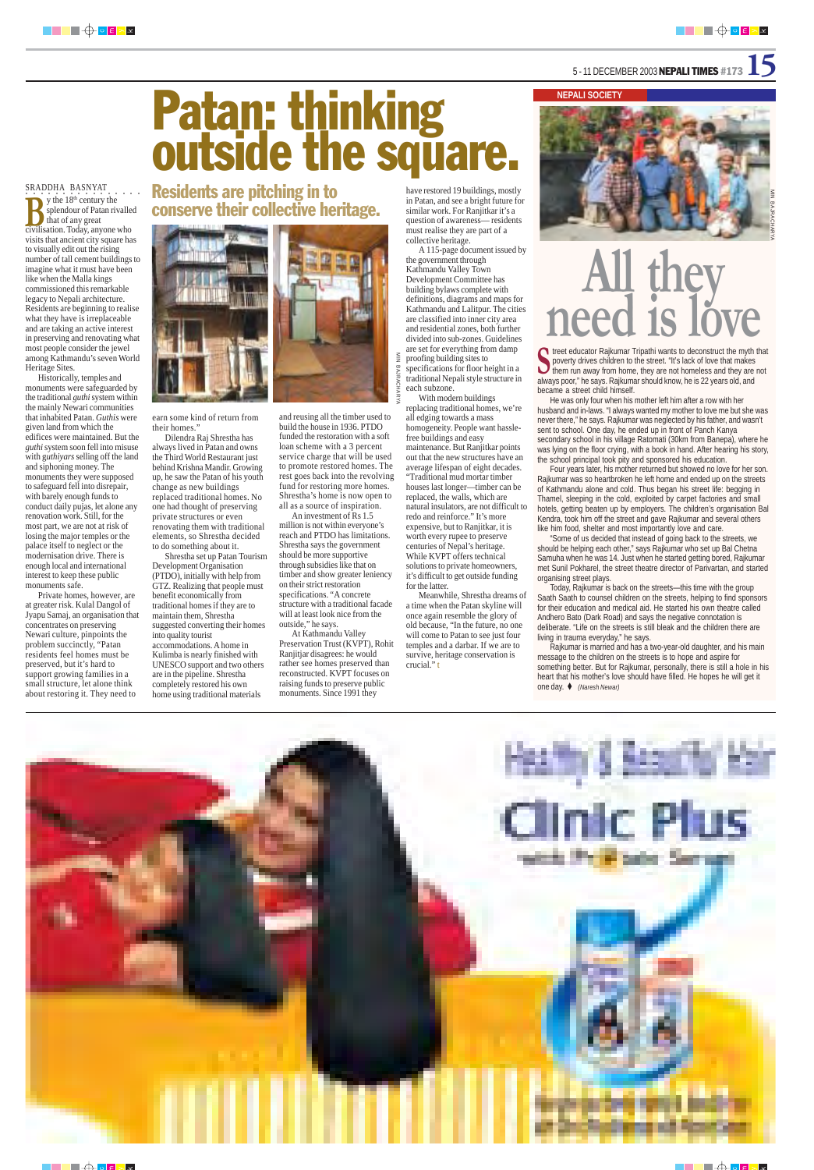#### 5 - 11 DECEMBER 2003 **NEPALI TIMES** #173

#### **NEPALI SOCIETY**

T treet educator Rajkumar Tripathi wants to deconstruct the myth that poverty drives children to the street. "It's lack of love that makes poverty drives children to the street. "It's lack of love that makes<br>poverty drives children to the street. "It's lack of love that makes<br>and they are not home, they are not homeless and they are not always poor," he says. Rajkumar should know, he is 22 years old, and became a street child himself.

He was only four when his mother left him after a row with her husband and in-laws. "I always wanted my mother to love me but she was never there," he says. Rajkumar was neglected by his father, and wasn't sent to school. One day, he ended up in front of Panch Kanya secondary school in his village Ratomati (30km from Banepa), where he was lying on the floor crying, with a book in hand. After hearing his story, the school principal took pity and sponsored his education.

Four years later, his mother returned but showed no love for her son. Rajkumar was so heartbroken he left home and ended up on the streets of Kathmandu alone and cold. Thus began his street life: begging in Thamel, sleeping in the cold, exploited by carpet factories and small hotels, getting beaten up by employers. The children's organisation Bal Kendra, took him off the street and gave Rajkumar and several others like him food, shelter and most importantly love and care.

SRADDHA BASNYAT. . . . .  $\sum$  y the 18<sup>th</sup> century the splendour of Patan rivalled that of any great splendour of Patan rivalle<br>that of any great<br>civilisation. Today, anyone who visits that ancient city square has to visually edit out the rising number of tall cement buildings to imagine what it must have been like when the Malla kings commissioned this remarkable legacy to Nepali architecture. Residents are beginning to realise what they have is irreplaceable and are taking an active interest in preserving and renovating what most people consider the jewel among Kathmandu's seven World Heritage Sites.

> "Some of us decided that instead of going back to the streets, we should be helping each other," says Rajkumar who set up Bal Chetna Samuha when he was 14. Just when he started getting bored, Rajkumar met Sunil Pokharel, the street theatre director of Parivartan, and started organising street plays.

> Today, Rajkumar is back on the streets—this time with the group Saath Saath to counsel children on the streets, helping to find sponsors for their education and medical aid. He started his own theatre called Andhero Bato (Dark Road) and says the negative connotation is deliberate. "Life on the streets is still bleak and the children there are living in trauma everyday," he says.

> Rajkumar is married and has a two-year-old daughter, and his main message to the children on the streets is to hope and aspire for something better. But for Rajkumar, personally, there is still a hole in his heart that his mother's love should have filled. He hopes he will get it one day. *(Naresh Newar)*



Historically, temples and monuments were safeguarded by the traditional *guthi* system within the mainly Newari communities that inhabited Patan. *Guthis* were given land from which the edifices were maintained. But the *guthi* system soon fell into misuse with g*uthiyars* selling off the land and siphoning money. The monuments they were supposed to safeguard fell into disrepair, with barely enough funds to conduct daily pujas, let alone any renovation work. Still, for the most part, we are not at risk of losing the major temples or the palace itself to neglect or the modernisation drive. There is enough local and international interest to keep these public monuments safe.

Private homes, however, are at greater risk. Kulal Dangol of Jyapu Samaj, an organisation that concentrates on preserving Newari culture, pinpoints the problem succinctly, "Patan residents feel homes must be preserved, but it's hard to support growing families in a small structure, let alone think about restoring it. They need to

## Patan: thinking outside the square.

Residents are pitching in to conserve their collective heritage.



earn some kind of return from their homes."

Dilendra Raj Shrestha has always lived in Patan and owns the Third World Restaurant just behind Krishna Mandir. Growing up, he saw the Patan of his youth change as new buildings replaced traditional homes. No one had thought of preserving private structures or even renovating them with traditional elements, so Shrestha decided to do something about it.

Shrestha set up Patan Tourism Development Organisation (PTDO), initially with help from GTZ. Realizing that people must benefit economically from traditional homes if they are to maintain them, Shrestha suggested converting their homes into quality tourist accommodations. A home in Kulimba is nearly finished with UNESCO support and two others are in the pipeline. Shrestha completely restored his own home using traditional materials

and reusing all the timber used to build the house in 1936. PTDO funded the restoration with a soft loan scheme with a 3 percent service charge that will be used to promote restored homes. The rest goes back into the revolving fund for restoring more homes. Shrestha's home is now open to all as a source of inspiration. An investment of Rs 1.5 million is not within everyone's reach and PTDO has limitations. Shrestha says the government should be more supportive through subsidies like that on timber and show greater leniency

on their strict restoration specifications. "A concrete structure with a traditional facade will at least look nice from the

outside," he says.

At Kathmandu Valley Preservation Trust (KVPT), Rohit Ranjitjar disagrees: he would rather see homes preserved than reconstructed. KVPT focuses on raising funds to preserve public monuments. Since 1991 they

have restored 19 buildings, mostly in Patan, and see a bright future for similar work. For Ranjitkar it's a question of awareness— residents must realise they are part of a







collective heritage. A 115-page document issued by the government through Kathmandu Valley Town Development Committee has building bylaws complete with definitions, diagrams and maps for Kathmandu and Lalitpur. The cities are classified into inner city area and residential zones, both further

divided into sub-zones. Guidelines are set for everything from damp  $\frac{8}{2}$ MIN BAJRACHARYAproofing building sites to specifications for floor height in a **BAJRACHA** traditional Nepali style structure in each subzone.

With modern buildings replacing traditional homes, we're all edging towards a mass homogeneity. People want hasslefree buildings and easy maintenance. But Ranjitkar points out that the new structures have an average lifespan of eight decades. "Traditional mud mortar timber houses last longer—timber can be replaced, the walls, which are natural insulators, are not difficult to redo and reinforce." It's more expensive, but to Ranjitkar, it is worth every rupee to preserve centuries of Nepal's heritage. While KVPT offers technical solutions to private homeowners, it's difficult to get outside funding for the latter.

Meanwhile, Shrestha dreams of a time when the Patan skyline will once again resemble the glory of old because, "In the future, no one will come to Patan to see just four temples and a darbar. If we are to survive, heritage conservation is crucial." t



## **eed 1**